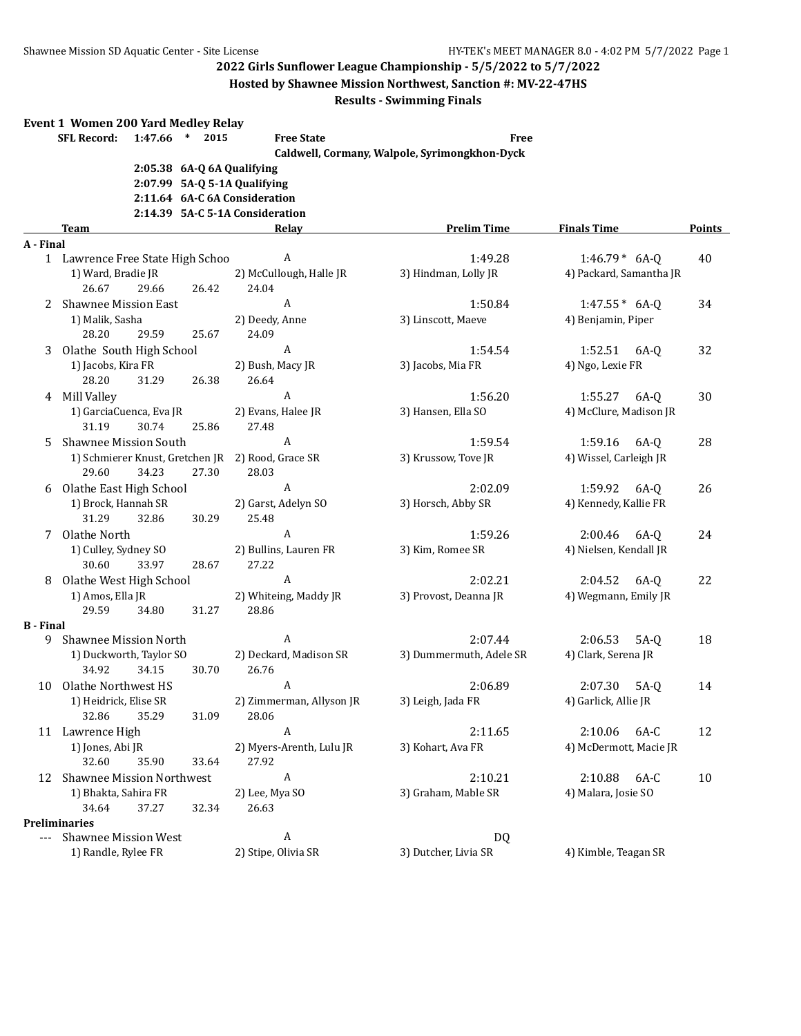**Hosted by Shawnee Mission Northwest, Sanction #: MV-22-47HS**

|                  | <b>Event 1 Women 200 Yard Medley Relay</b>                    |                          |                                               |                         |               |
|------------------|---------------------------------------------------------------|--------------------------|-----------------------------------------------|-------------------------|---------------|
|                  | 1:47.66 * 2015<br><b>SFL Record:</b>                          | <b>Free State</b>        | <b>Free</b>                                   |                         |               |
|                  |                                                               |                          | Caldwell, Cormany, Walpole, Syrimongkhon-Dyck |                         |               |
|                  | 2:05.38 6A-Q 6A Qualifying                                    |                          |                                               |                         |               |
|                  | 2:07.99 5A-Q 5-1A Qualifying<br>2:11.64 6A-C 6A Consideration |                          |                                               |                         |               |
|                  | 2:14.39 5A-C 5-1A Consideration                               |                          |                                               |                         |               |
|                  | Team                                                          | Relay                    | <b>Prelim Time</b>                            | <b>Finals Time</b>      | <b>Points</b> |
| A - Final        |                                                               |                          |                                               |                         |               |
|                  | 1 Lawrence Free State High Schoo                              | A                        | 1:49.28                                       | $1:46.79*$ 6A-Q         | 40            |
|                  | 1) Ward, Bradie JR                                            | 2) McCullough, Halle JR  | 3) Hindman, Lolly JR                          | 4) Packard, Samantha JR |               |
|                  | 26.67<br>29.66<br>26.42                                       | 24.04                    |                                               |                         |               |
| 2                | <b>Shawnee Mission East</b>                                   | A                        | 1:50.84                                       | $1:47.55* 6A-Q$         | 34            |
|                  | 1) Malik, Sasha                                               | 2) Deedy, Anne           | 3) Linscott, Maeve                            | 4) Benjamin, Piper      |               |
|                  | 28.20<br>29.59<br>25.67                                       | 24.09                    |                                               |                         |               |
| 3                | Olathe South High School                                      | A                        | 1:54.54                                       | 1:52.51 6A-0            | 32            |
|                  | 1) Jacobs, Kira FR                                            | 2) Bush, Macy JR         | 3) Jacobs, Mia FR                             | 4) Ngo, Lexie FR        |               |
|                  | 28.20<br>31.29<br>26.38                                       | 26.64                    |                                               |                         |               |
|                  | 4 Mill Valley                                                 | A                        | 1:56.20                                       | $1:55.27$ 6A-0          | 30            |
|                  | 1) GarciaCuenca, Eva JR                                       | 2) Evans, Halee JR       | 3) Hansen, Ella SO                            | 4) McClure, Madison JR  |               |
|                  | 31.19<br>30.74<br>25.86                                       | 27.48                    |                                               |                         |               |
| 5                | Shawnee Mission South                                         | A                        | 1:59.54                                       | 1:59.16<br>6A-0         | 28            |
|                  | 1) Schmierer Knust, Gretchen JR 2) Rood, Grace SR             |                          | 3) Krussow, Tove JR                           | 4) Wissel, Carleigh JR  |               |
|                  | 29.60<br>34.23<br>27.30                                       | 28.03                    |                                               |                         |               |
| 6                | Olathe East High School                                       | A                        | 2:02.09                                       | 1:59.92<br>6A-0         | 26            |
|                  | 1) Brock, Hannah SR                                           | 2) Garst, Adelyn SO      | 3) Horsch, Abby SR                            | 4) Kennedy, Kallie FR   |               |
|                  | 31.29<br>32.86<br>30.29                                       | 25.48                    |                                               |                         |               |
| 7                | Olathe North                                                  | $\boldsymbol{A}$         | 1:59.26                                       | 2:00.46 6A-Q            | 24            |
|                  | 1) Culley, Sydney SO                                          | 2) Bullins, Lauren FR    | 3) Kim, Romee SR                              | 4) Nielsen, Kendall JR  |               |
|                  | 30.60<br>33.97<br>28.67                                       | 27.22                    |                                               |                         |               |
| 8                | Olathe West High School                                       | $\boldsymbol{A}$         | 2:02.21                                       | 2:04.52<br>6A-Q         | 22            |
|                  | 1) Amos, Ella JR                                              | 2) Whiteing, Maddy JR    | 3) Provost, Deanna JR                         | 4) Wegmann, Emily JR    |               |
|                  | 29.59<br>34.80<br>31.27                                       | 28.86                    |                                               |                         |               |
| <b>B</b> - Final |                                                               |                          |                                               |                         |               |
| 9                | <b>Shawnee Mission North</b>                                  | A                        | 2:07.44                                       | 2:06.53<br>$5A-Q$       | 18            |
|                  | 1) Duckworth, Taylor SO                                       | 2) Deckard, Madison SR   | 3) Dummermuth, Adele SR                       | 4) Clark, Serena JR     |               |
|                  | 34.92<br>34.15<br>30.70                                       | 26.76                    |                                               |                         |               |
| 10               | Olathe Northwest HS                                           | A                        | 2:06.89                                       | 2:07.30<br>5A-0         | 14            |
|                  | 1) Heidrick, Elise SR                                         | 2) Zimmerman, Allyson JR | 3) Leigh, Jada FR                             | 4) Garlick, Allie JR    |               |
|                  | 32.86<br>35.29<br>31.09                                       | 28.06                    |                                               |                         |               |
|                  | 11 Lawrence High                                              | A                        | 2:11.65                                       | 2:10.06<br>6A-C         | 12            |
|                  | 1) Jones, Abi JR                                              | 2) Myers-Arenth, Lulu JR | 3) Kohart, Ava FR                             | 4) McDermott, Macie JR  |               |
|                  | 32.60<br>35.90<br>33.64                                       | 27.92                    |                                               |                         |               |
| 12               | <b>Shawnee Mission Northwest</b>                              | A                        | 2:10.21                                       | 2:10.88<br>6A-C         | 10            |
|                  | 1) Bhakta, Sahira FR                                          | 2) Lee, Mya SO           | 3) Graham, Mable SR                           | 4) Malara, Josie SO     |               |
|                  | 34.64<br>37.27<br>32.34                                       | 26.63                    |                                               |                         |               |
|                  | <b>Preliminaries</b>                                          |                          |                                               |                         |               |
|                  | --- Shawnee Mission West                                      | A                        | DQ                                            |                         |               |
|                  | 1) Randle, Rylee FR                                           | 2) Stipe, Olivia SR      | 3) Dutcher, Livia SR                          | 4) Kimble, Teagan SR    |               |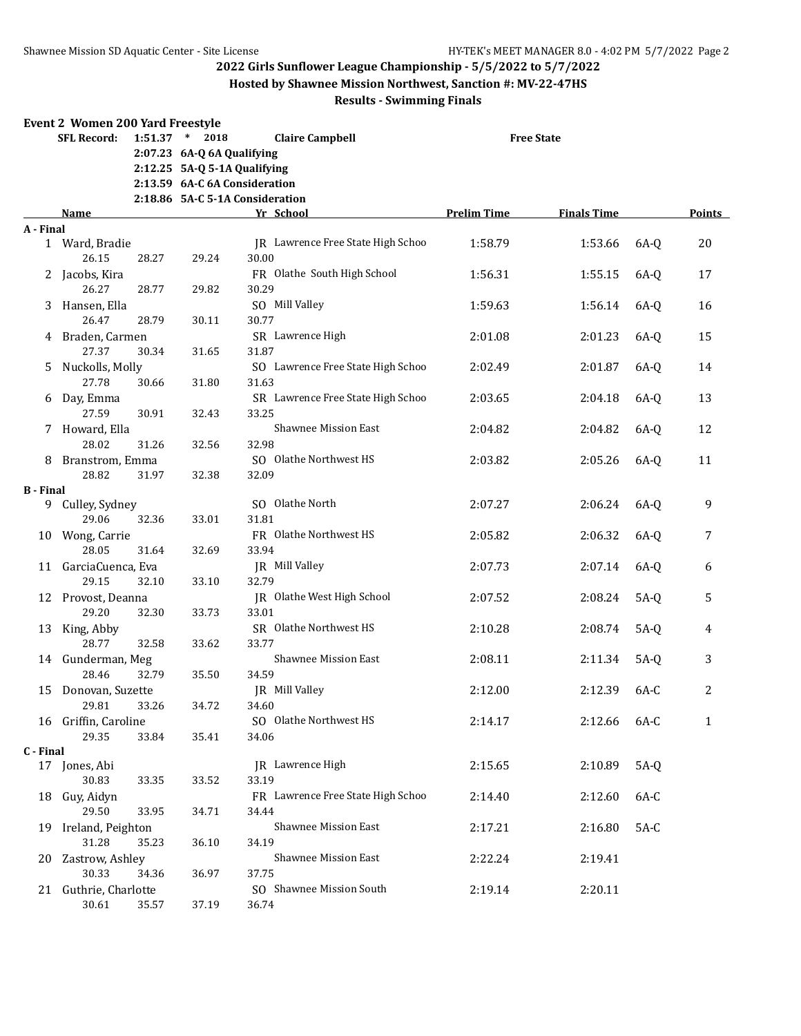**Hosted by Shawnee Mission Northwest, Sanction #: MV-22-47HS**

#### **Results - Swimming Finals**

#### **Event 2 Women 200 Yard Freestyle SFL Record: 1:51.37 \* 2018 Claire Campbell Free State 2:07.23 6A-Q 6A Qualifying 2:12.25 5A-Q 5-1A Qualifying 2:13.59 6A-C 6A Consideration 2:18.86 5A-C 5-1A Consideration Name Yr School Prelim Time Finals Time Points A - Final** 1 Ward, Bradie 19 11 March 1:58.79 1:53.66 6A-O 20 26.15 28.27 29.24 30.00 2 Jacobs, Kira FR Olathe South High School 1:56.31 1:55.15 6A-Q 17 26.27 28.77 29.82 30.29 3 Hansen, Ella SO Mill Valley 1:59.63 1:56.14 6A-Q 16 26.47 28.79 30.11 30.77 4 Braden, Carmen SR Lawrence High 2:01.08 2:01.23 6A-Q 15 27.37 30.34 31.65 31.87 5 Nuckolls, Molly SO Lawrence Free State High Schoo 2:02.49 2:01.87 6A-Q 14 27.78 30.66 31.80 31.63 6 Day, Emma SR Lawrence Free State High Schoo 2:03.65 2:04.18 6A-Q 13 27.59 30.91 32.43 33.25 7 Howard, Ella Shawnee Mission East 2:04.82 2:04.82 6A-Q 12 28.02 31.26 32.56 32.98 8 Branstrom, Emma SO Olathe Northwest HS 2:03.82 2:05.26 6A-Q 11 28.82 31.97 32.38 32.09 **B - Final** 9 Culley, Sydney SO Olathe North 2:07.27 2:06.24 6A-Q 9 29.06 32.36 33.01 31.81 10 Wong, Carrie FR Olathe Northwest HS 2:05.82 2:06.32 6A-Q 7 28.05 31.64 32.69 33.94 11 GarciaCuenca, Eva JR Mill Valley 2:07.73 2:07.14 6A-Q 6 29.15 32.10 33.10 32.79 12 Provost, Deanna JR Olathe West High School 2:07.52 2:08.24 5A-Q 5 29.20 32.30 33.73 33.01 13 King, Abby SR Olathe Northwest HS 2:10.28 2:08.74 5A-Q 4 28.77 32.58 33.62 33.77 14 Gunderman, Meg Shawnee Mission East 2:08.11 2:11.34 5A-Q 3 28.46 32.79 35.50 34.59 15 Donovan, Suzette JR Mill Valley 2:12.00 2:12.39 6A-C 2 29.81 33.26 34.72 34.60 16 Griffin, Caroline SO Olathe Northwest HS 2:14.17 2:12.66 6A-C 1 29.35 33.84 35.41 34.06 **C - Final** 17 Jones, Abi JR Lawrence High 2:15.65 2:10.89 5A-Q 30.83 33.35 33.52 33.19 18 Guy, Aidyn FR Lawrence Free State High Schoo 2:14.40 2:12.60 6A-C 29.50 33.95 34.71 34.44 19 Ireland, Peighton Shawnee Mission East 2:17.21 2:16.80 5A-C 31.28 35.23 36.10 34.19 20 Zastrow, Ashley Shawnee Mission East 2:22.24 2:19.41 30.33 34.36 36.97 37.75 21 Guthrie, Charlotte SO Shawnee Mission South 2:19.14 2:20.11 30.61 35.57 37.19 36.74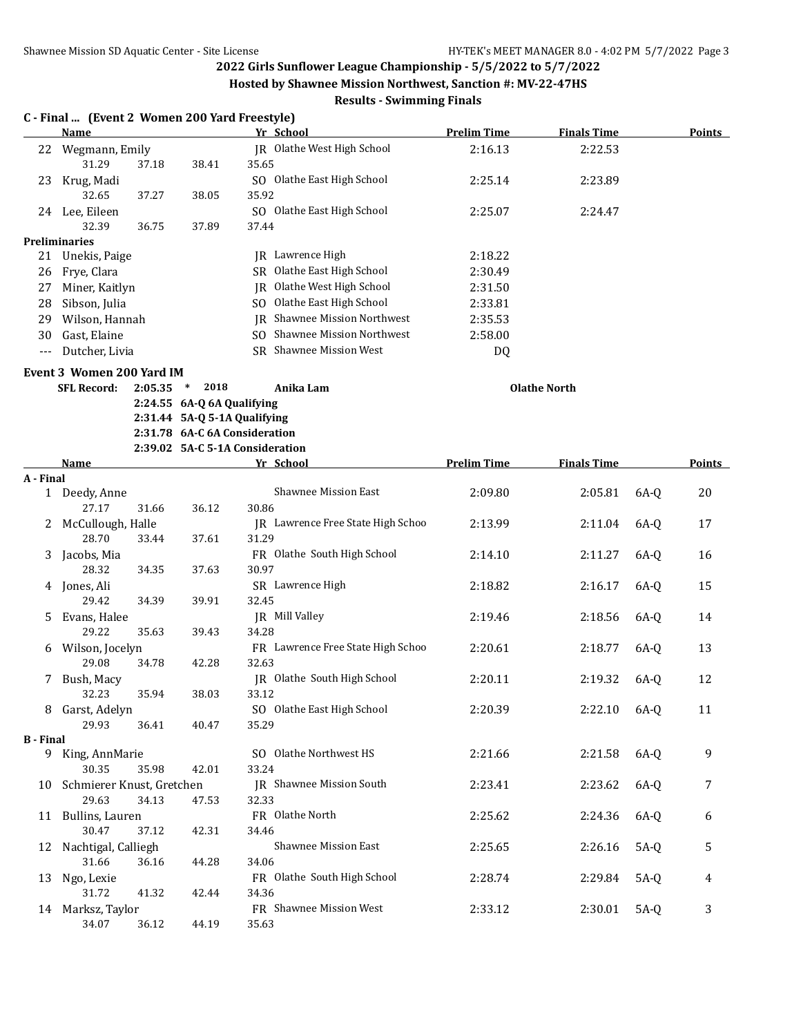**C - Final ... (Event 2 Women 200 Yard Freestyle)**

**2022 Girls Sunflower League Championship - 5/5/2022 to 5/7/2022**

**Hosted by Shawnee Mission Northwest, Sanction #: MV-22-47HS**

|                  | <b>Name</b>                      |         |                                                                  |       | Yr School                           | <b>Prelim Time</b> | <b>Finals Time</b>  |        | <b>Points</b> |
|------------------|----------------------------------|---------|------------------------------------------------------------------|-------|-------------------------------------|--------------------|---------------------|--------|---------------|
| 22               | Wegmann, Emily                   |         |                                                                  |       | JR Olathe West High School          | 2:16.13            | 2:22.53             |        |               |
|                  | 31.29                            | 37.18   | 38.41                                                            | 35.65 |                                     |                    |                     |        |               |
| 23               | Krug, Madi                       |         |                                                                  |       | SO Olathe East High School          | 2:25.14            | 2:23.89             |        |               |
|                  | 32.65                            | 37.27   | 38.05                                                            | 35.92 |                                     |                    |                     |        |               |
|                  | 24 Lee, Eileen                   |         |                                                                  |       | SO Olathe East High School          | 2:25.07            | 2:24.47             |        |               |
|                  | 32.39                            | 36.75   | 37.89                                                            | 37.44 |                                     |                    |                     |        |               |
|                  | <b>Preliminaries</b>             |         |                                                                  |       |                                     |                    |                     |        |               |
|                  | 21 Unekis, Paige                 |         |                                                                  |       | JR Lawrence High                    | 2:18.22            |                     |        |               |
|                  | 26 Frye, Clara                   |         |                                                                  |       | SR Olathe East High School          | 2:30.49            |                     |        |               |
| 27               | Miner, Kaitlyn                   |         |                                                                  |       | JR Olathe West High School          | 2:31.50            |                     |        |               |
| 28               | Sibson, Julia                    |         |                                                                  |       | SO Olathe East High School          | 2:33.81            |                     |        |               |
| 29               | Wilson, Hannah                   |         |                                                                  |       | <b>IR</b> Shawnee Mission Northwest | 2:35.53            |                     |        |               |
| 30               | Gast, Elaine                     |         |                                                                  |       | SO Shawnee Mission Northwest        | 2:58.00            |                     |        |               |
| $---$            | Dutcher, Livia                   |         |                                                                  |       | SR Shawnee Mission West             | <b>DQ</b>          |                     |        |               |
|                  | <b>Event 3 Women 200 Yard IM</b> |         |                                                                  |       |                                     |                    |                     |        |               |
|                  | <b>SFL Record:</b>               | 2:05.35 | 2018<br>$\ast$                                                   |       | Anika Lam                           |                    | <b>Olathe North</b> |        |               |
|                  |                                  |         | 2:24.55 6A-Q 6A Qualifying                                       |       |                                     |                    |                     |        |               |
|                  |                                  |         | 2:31.44 5A-Q 5-1A Qualifying                                     |       |                                     |                    |                     |        |               |
|                  |                                  |         | 2:31.78 6A-C 6A Consideration<br>2:39.02 5A-C 5-1A Consideration |       |                                     |                    |                     |        |               |
|                  | Name                             |         |                                                                  |       | Yr School                           | <b>Prelim Time</b> | <b>Finals Time</b>  |        | <b>Points</b> |
| A - Final        |                                  |         |                                                                  |       |                                     |                    |                     |        |               |
|                  | 1 Deedy, Anne                    |         |                                                                  |       | <b>Shawnee Mission East</b>         | 2:09.80            | 2:05.81             | 6A-Q   | 20            |
|                  | 27.17                            | 31.66   | 36.12                                                            | 30.86 |                                     |                    |                     |        |               |
| 2                | McCullough, Halle                |         |                                                                  |       | JR Lawrence Free State High Schoo   | 2:13.99            | 2:11.04             | 6A-0   | 17            |
|                  | 28.70                            | 33.44   | 37.61                                                            | 31.29 |                                     |                    |                     |        |               |
| 3                | Jacobs, Mia                      |         |                                                                  |       | FR Olathe South High School         | 2:14.10            | 2:11.27             | 6A-0   | 16            |
|                  | 28.32                            | 34.35   | 37.63                                                            | 30.97 |                                     |                    |                     |        |               |
|                  | 4 Jones, Ali                     |         |                                                                  |       | SR Lawrence High                    | 2:18.82            | 2:16.17             | 6A-0   | 15            |
|                  | 29.42                            | 34.39   | 39.91                                                            | 32.45 |                                     |                    |                     |        |               |
| 5                | Evans, Halee                     |         |                                                                  |       | JR Mill Valley                      | 2:19.46            | 2:18.56             | 6A-Q   | 14            |
|                  | 29.22                            | 35.63   | 39.43                                                            | 34.28 |                                     |                    |                     |        |               |
| 6                | Wilson, Jocelyn                  |         |                                                                  |       | FR Lawrence Free State High Schoo   | 2:20.61            | 2:18.77             | 6A-Q   | 13            |
|                  | 29.08                            | 34.78   | 42.28                                                            | 32.63 | JR Olathe South High School         |                    |                     |        |               |
| 7                | Bush, Macy<br>32.23              | 35.94   | 38.03                                                            | 33.12 |                                     | 2:20.11            | 2:19.32             | 6A-0   | 12            |
|                  | 8 Garst, Adelyn                  |         |                                                                  |       | SO Olathe East High School          | 2:20.39            | 2:22.10 6A-Q        |        | 11            |
|                  | 29.93                            | 36.41   | 40.47                                                            | 35.29 |                                     |                    |                     |        |               |
| <b>B</b> - Final |                                  |         |                                                                  |       |                                     |                    |                     |        |               |
|                  | 9 King, AnnMarie                 |         |                                                                  |       | SO Olathe Northwest HS              | 2:21.66            | 2:21.58             | $6A-Q$ | 9             |
|                  | 30.35                            | 35.98   | 42.01                                                            | 33.24 |                                     |                    |                     |        |               |
|                  | 10 Schmierer Knust, Gretchen     |         |                                                                  |       | JR Shawnee Mission South            | 2:23.41            | 2:23.62             | $6A-Q$ | 7             |
|                  | 29.63                            | 34.13   | 47.53                                                            | 32.33 |                                     |                    |                     |        |               |
|                  | 11 Bullins, Lauren               |         |                                                                  |       | FR Olathe North                     | 2:25.62            | 2:24.36             | $6A-Q$ | 6             |
|                  | 30.47                            | 37.12   | 42.31                                                            | 34.46 |                                     |                    |                     |        |               |
| 12               | Nachtigal, Calliegh              |         |                                                                  |       | <b>Shawnee Mission East</b>         | 2:25.65            | 2:26.16             | $5A-Q$ | 5             |
|                  | 31.66                            | 36.16   | 44.28                                                            | 34.06 |                                     |                    |                     |        |               |
| 13               | Ngo, Lexie                       |         |                                                                  |       | FR Olathe South High School         | 2:28.74            | 2:29.84             | $5A-Q$ | 4             |
|                  | 31.72                            | 41.32   | 42.44                                                            | 34.36 |                                     |                    |                     |        |               |
|                  | 14 Marksz, Taylor                |         |                                                                  |       | FR Shawnee Mission West             | 2:33.12            | 2:30.01             | $5A-Q$ | 3             |
|                  | 34.07                            | 36.12   | 44.19                                                            | 35.63 |                                     |                    |                     |        |               |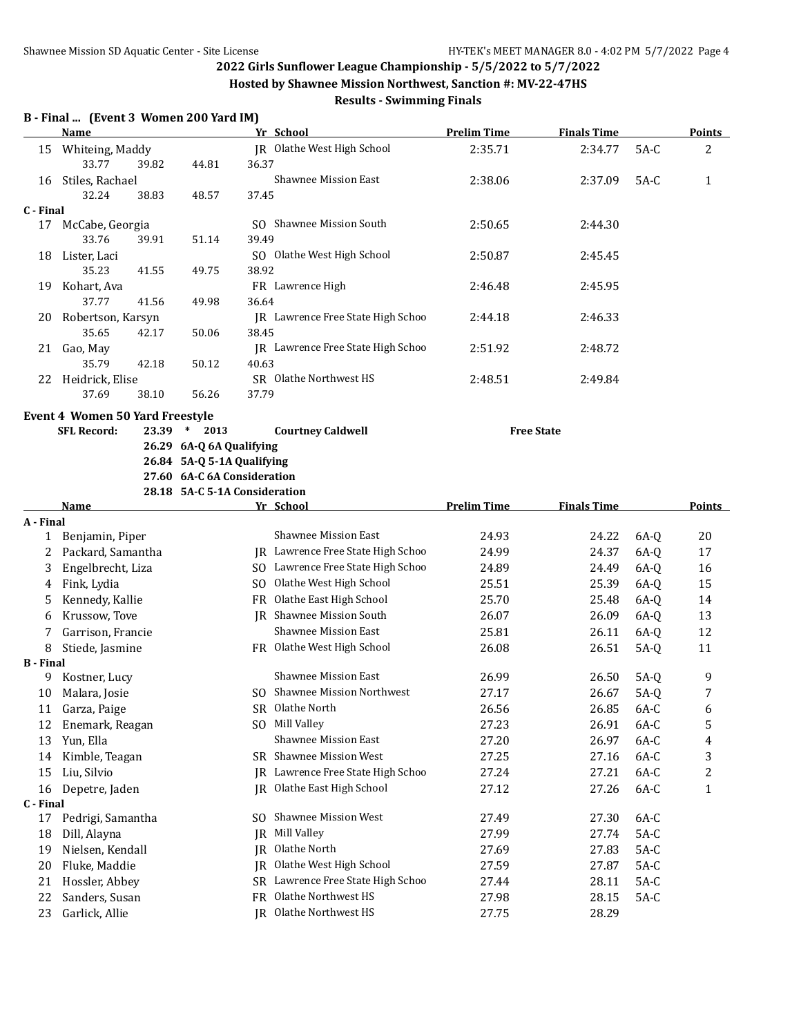**Hosted by Shawnee Mission Northwest, Sanction #: MV-22-47HS**

## **Results - Swimming Finals**

#### **B - Final ... (Event 3 Women 200 Yard IM)**

|                  | <b>Name</b>                                              |                               |       | Yr School                         | <b>Prelim Time</b> | <b>Finals Time</b> |        | <b>Points</b> |
|------------------|----------------------------------------------------------|-------------------------------|-------|-----------------------------------|--------------------|--------------------|--------|---------------|
| 15               | Whiteing, Maddy<br>33.77<br>39.82                        | 44.81                         | 36.37 | JR Olathe West High School        | 2:35.71            | 2:34.77            | $5A-C$ | 2             |
| 16               | Stiles, Rachael<br>32.24<br>38.83                        | 48.57                         | 37.45 | Shawnee Mission East              | 2:38.06            | 2:37.09            | $5A-C$ | $\mathbf{1}$  |
| C - Final        |                                                          |                               |       |                                   |                    |                    |        |               |
|                  | 17 McCabe, Georgia<br>33.76<br>39.91                     | 51.14                         | 39.49 | SO Shawnee Mission South          | 2:50.65            | 2:44.30            |        |               |
| 18               | Lister, Laci<br>35.23<br>41.55                           | 49.75                         | 38.92 | SO Olathe West High School        | 2:50.87            | 2:45.45            |        |               |
| 19               | Kohart, Ava<br>37.77<br>41.56                            | 49.98                         | 36.64 | FR Lawrence High                  | 2:46.48            | 2:45.95            |        |               |
| 20               | Robertson, Karsyn                                        |                               |       | JR Lawrence Free State High Schoo | 2:44.18            | 2:46.33            |        |               |
|                  | 35.65<br>42.17<br>21 Gao, May                            | 50.06                         | 38.45 | JR Lawrence Free State High Schoo | 2:51.92            | 2:48.72            |        |               |
|                  | 35.79<br>42.18<br>22 Heidrick, Elise                     | 50.12                         | 40.63 | SR Olathe Northwest HS            | 2:48.51            | 2:49.84            |        |               |
|                  | 37.69<br>38.10<br><b>Event 4 Women 50 Yard Freestyle</b> | 56.26                         | 37.79 |                                   |                    |                    |        |               |
|                  | <b>SFL Record:</b>                                       | 23.39 * 2013                  |       | <b>Courtney Caldwell</b>          |                    | <b>Free State</b>  |        |               |
|                  |                                                          | 26.29 6A-Q 6A Qualifying      |       |                                   |                    |                    |        |               |
|                  |                                                          | 26.84 5A-Q 5-1A Qualifying    |       |                                   |                    |                    |        |               |
|                  |                                                          | 27.60 6A-C 6A Consideration   |       |                                   |                    |                    |        |               |
|                  |                                                          | 28.18 5A-C 5-1A Consideration |       |                                   |                    |                    |        |               |
|                  | Name                                                     |                               |       | Yr School                         | <b>Prelim Time</b> | <b>Finals Time</b> |        | Points        |
| A - Final        | 1 Benjamin, Piper                                        |                               |       | <b>Shawnee Mission East</b>       | 24.93              | 24.22              | $6A-Q$ | 20            |
| 2                | Packard, Samantha                                        |                               |       | JR Lawrence Free State High Schoo | 24.99              | 24.37              | $6A-Q$ | 17            |
| 3                | Engelbrecht, Liza                                        |                               |       | SO Lawrence Free State High Schoo | 24.89              | 24.49              | $6A-Q$ | 16            |
| 4                | Fink, Lydia                                              |                               |       | SO Olathe West High School        | 25.51              | 25.39              | $6A-Q$ | 15            |
| 5                | Kennedy, Kallie                                          |                               |       | FR Olathe East High School        | 25.70              | 25.48              | $6A-Q$ | 14            |
| 6                | Krussow, Tove                                            |                               |       | JR Shawnee Mission South          | 26.07              | 26.09              | $6A-Q$ | 13            |
| 7                | Garrison, Francie                                        |                               |       | Shawnee Mission East              | 25.81              | 26.11              | $6A-Q$ | 12            |
| 8                | Stiede, Jasmine                                          |                               |       | FR Olathe West High School        | 26.08              | 26.51              | $5A-Q$ | 11            |
| <b>B</b> - Final |                                                          |                               |       |                                   |                    |                    |        |               |
| 9.               | Kostner, Lucy                                            |                               |       | Shawnee Mission East              | 26.99              | 26.50              | $5A-Q$ | 9             |
| 10               | Malara, Josie                                            |                               |       | SO Shawnee Mission Northwest      | 27.17              | 26.67              | $5A-Q$ | 7             |
|                  | 11 Garza, Paige                                          |                               |       | SR Olathe North                   | 26.56              | 26.85              | 6A-C   | 6             |
| 12               | Enemark, Reagan                                          |                               |       | SO Mill Valley                    | 27.23              | 26.91              | 6A-C   | 5             |
| 13               | Yun, Ella                                                |                               |       | Shawnee Mission East              | 27.20              | 26.97              | 6A-C   | 4             |
| 14               | Kimble, Teagan                                           |                               |       | SR Shawnee Mission West           | 27.25              | 27.16              | $6A-C$ | 3             |
| 15               | Liu, Silvio                                              |                               |       | JR Lawrence Free State High Schoo | 27.24              | 27.21              | 6A-C   | 2             |
| 16               | Depetre, Jaden                                           |                               |       | JR Olathe East High School        | 27.12              | 27.26              | 6A-C   | 1             |
| C - Final        |                                                          |                               |       |                                   |                    |                    |        |               |
| 17               | Pedrigi, Samantha                                        |                               |       | SO Shawnee Mission West           | 27.49              | 27.30              | 6A-C   |               |
| 18               | Dill, Alayna                                             |                               | IR    | Mill Valley                       | 27.99              | 27.74              | $5A-C$ |               |
| 19               | Nielsen, Kendall                                         |                               | IR    | Olathe North                      | 27.69              | 27.83              | $5A-C$ |               |
| 20               | Fluke, Maddie                                            |                               | IR    | Olathe West High School           | 27.59              | 27.87              | $5A-C$ |               |
| 21               | Hossler, Abbey                                           |                               |       | SR Lawrence Free State High Schoo | 27.44              | 28.11              | $5A-C$ |               |
| 22               | Sanders, Susan                                           |                               |       | FR Olathe Northwest HS            | 27.98              | 28.15              | $5A-C$ |               |
| 23               | Garlick, Allie                                           |                               |       | JR Olathe Northwest HS            | 27.75              | 28.29              |        |               |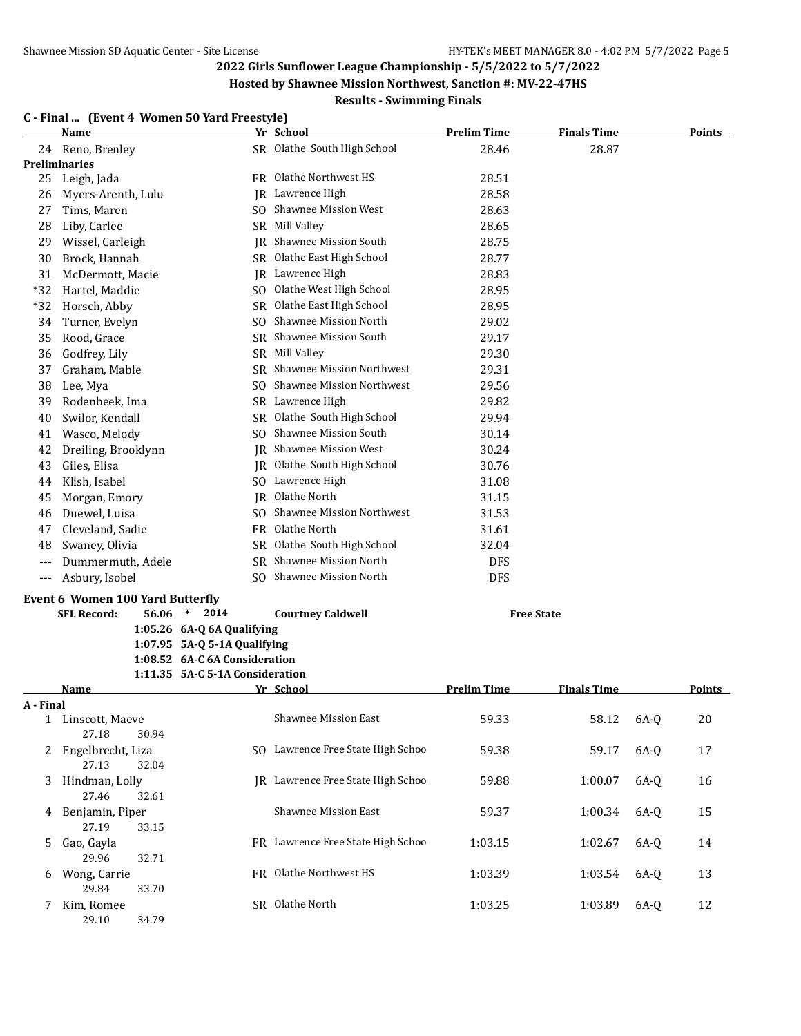**Hosted by Shawnee Mission Northwest, Sanction #: MV-22-47HS**

## **Results - Swimming Finals**

#### **C - Final ... (Event 4 Women 50 Yard Freestyle)**

|           | <b>Name</b>                             |                                 | Yr School                         | <b>Prelim Time</b> | <b>Finals Time</b> |      | <b>Points</b> |
|-----------|-----------------------------------------|---------------------------------|-----------------------------------|--------------------|--------------------|------|---------------|
|           | 24 Reno, Brenley                        |                                 | SR Olathe South High School       | 28.46              | 28.87              |      |               |
|           | <b>Preliminaries</b>                    |                                 |                                   |                    |                    |      |               |
| 25        | Leigh, Jada                             |                                 | FR Olathe Northwest HS            | 28.51              |                    |      |               |
| 26        | Myers-Arenth, Lulu                      |                                 | JR Lawrence High                  | 28.58              |                    |      |               |
| 27        | Tims, Maren                             |                                 | SO Shawnee Mission West           | 28.63              |                    |      |               |
| 28        | Liby, Carlee                            |                                 | SR Mill Valley                    | 28.65              |                    |      |               |
| 29        | Wissel, Carleigh                        | IR                              | Shawnee Mission South             | 28.75              |                    |      |               |
| 30        | Brock, Hannah                           |                                 | SR Olathe East High School        | 28.77              |                    |      |               |
| 31        | McDermott, Macie                        | IR                              | Lawrence High                     | 28.83              |                    |      |               |
| $*32$     | Hartel, Maddie                          | SO.                             | Olathe West High School           | 28.95              |                    |      |               |
| $*32$     | Horsch, Abby                            |                                 | SR Olathe East High School        | 28.95              |                    |      |               |
| 34        | Turner, Evelyn                          | SO.                             | Shawnee Mission North             | 29.02              |                    |      |               |
| 35        | Rood, Grace                             |                                 | SR Shawnee Mission South          | 29.17              |                    |      |               |
| 36        | Godfrey, Lily                           |                                 | SR Mill Valley                    | 29.30              |                    |      |               |
| 37        | Graham, Mable                           |                                 | SR Shawnee Mission Northwest      | 29.31              |                    |      |               |
| 38        | Lee, Mya                                | SO.                             | <b>Shawnee Mission Northwest</b>  | 29.56              |                    |      |               |
| 39        | Rodenbeek, Ima                          |                                 | SR Lawrence High                  | 29.82              |                    |      |               |
| 40        | Swilor, Kendall                         |                                 | SR Olathe South High School       | 29.94              |                    |      |               |
| 41        | Wasco, Melody                           | SO.                             | <b>Shawnee Mission South</b>      | 30.14              |                    |      |               |
| 42        | Dreiling, Brooklynn                     |                                 | IR Shawnee Mission West           | 30.24              |                    |      |               |
| 43        | Giles, Elisa                            | IR                              | Olathe South High School          | 30.76              |                    |      |               |
| 44        | Klish, Isabel                           |                                 | SO Lawrence High                  | 31.08              |                    |      |               |
| 45        | Morgan, Emory                           |                                 | Olathe North<br>IR                | 31.15              |                    |      |               |
| 46        | Duewel, Luisa<br>SO.                    |                                 | Shawnee Mission Northwest         | 31.53              |                    |      |               |
| 47        | Cleveland, Sadie                        |                                 | FR Olathe North                   | 31.61              |                    |      |               |
| 48        | Swaney, Olivia                          | SR.                             | Olathe South High School          | 32.04              |                    |      |               |
| ---       | Dummermuth, Adele                       |                                 | SR Shawnee Mission North          | <b>DFS</b>         |                    |      |               |
| $---$     | Asbury, Isobel                          | SO.                             | Shawnee Mission North             | <b>DFS</b>         |                    |      |               |
|           | <b>Event 6 Women 100 Yard Butterfly</b> |                                 |                                   |                    |                    |      |               |
|           | <b>SFL Record:</b><br>56.06             | 2014<br>$\ast$                  | <b>Courtney Caldwell</b>          |                    | <b>Free State</b>  |      |               |
|           |                                         | $1:05.26$ 6A-Q 6A Qualifying    |                                   |                    |                    |      |               |
|           |                                         | 1:07.95 5A-Q 5-1A Qualifying    |                                   |                    |                    |      |               |
|           |                                         | 1:08.52 6A-C 6A Consideration   |                                   |                    |                    |      |               |
|           |                                         | 1:11.35 5A-C 5-1A Consideration |                                   |                    |                    |      |               |
|           | Name                                    |                                 | Yr School                         | <b>Prelim Time</b> | <b>Finals Time</b> |      | Points        |
| A - Final |                                         |                                 |                                   |                    |                    |      |               |
| 1         | Linscott, Maeve                         |                                 | Shawnee Mission East              | 59.33              | 58.12              | 6A-Q | 20            |
|           | 27.18<br>30.94                          |                                 |                                   |                    |                    |      |               |
|           | 2 Engelbrecht, Liza<br>27.13<br>32.04   |                                 | SO Lawrence Free State High Schoo | 59.38              | 59.17              | 6A-Q | 17            |
| 3         | Hindman, Lolly<br>27.46<br>32.61        |                                 | JR Lawrence Free State High Schoo | 59.88              | 1:00.07            | 6A-Q | 16            |
|           | 4 Benjamin, Piper<br>27.19<br>33.15     |                                 | <b>Shawnee Mission East</b>       | 59.37              | 1:00.34            | 6A-Q | 15            |
| 5         | Gao, Gayla                              |                                 | FR Lawrence Free State High Schoo | 1:03.15            | 1:02.67            | 6A-Q | 14            |
| 6         | 29.96<br>32.71<br>Wong, Carrie          |                                 | FR Olathe Northwest HS            | 1:03.39            | 1:03.54            | 6A-Q | 13            |
|           | 29.84<br>33.70                          |                                 |                                   |                    |                    |      |               |
| 7.        | Kim, Romee<br>29.10<br>34.79            |                                 | SR Olathe North                   | 1:03.25            | 1:03.89            | 6A-Q | 12            |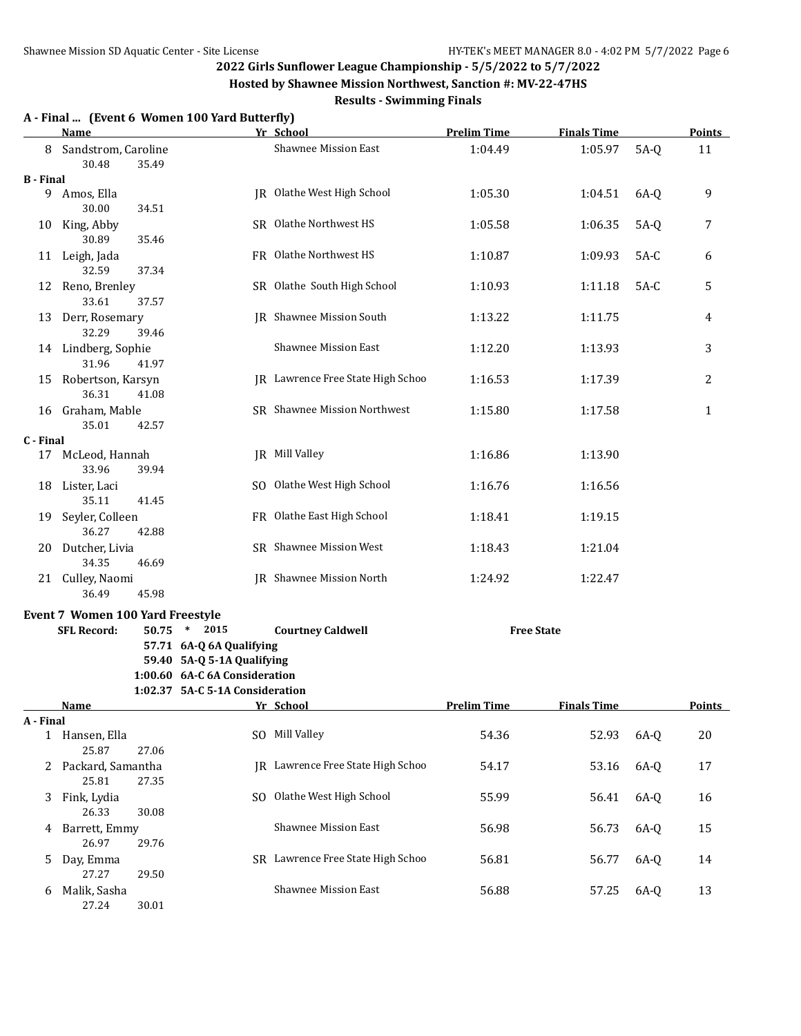**Hosted by Shawnee Mission Northwest, Sanction #: MV-22-47HS**

|                  | <b>Name</b>                      |       | A - Final  (Event 6 Women 100 Yard Butterfly) | Yr School                         | <b>Prelim Time</b> | <b>Finals Time</b> |        | <b>Points</b> |
|------------------|----------------------------------|-------|-----------------------------------------------|-----------------------------------|--------------------|--------------------|--------|---------------|
| 8                | Sandstrom, Caroline              |       |                                               | Shawnee Mission East              | 1:04.49            | 1:05.97            | $5A-Q$ | 11            |
|                  | 30.48                            | 35.49 |                                               |                                   |                    |                    |        |               |
| <b>B</b> - Final |                                  |       |                                               |                                   |                    |                    |        |               |
|                  | 9 Amos, Ella<br>30.00            | 34.51 |                                               | JR Olathe West High School        | 1:05.30            | 1:04.51            | $6A-Q$ | 9             |
|                  | 10 King, Abby<br>30.89           | 35.46 |                                               | SR Olathe Northwest HS            | 1:05.58            | 1:06.35            | $5A-Q$ | 7             |
|                  | 11 Leigh, Jada                   |       |                                               | FR Olathe Northwest HS            | 1:10.87            | 1:09.93            | $5A-C$ | 6             |
|                  | 32.59<br>12 Reno, Brenley        | 37.34 |                                               | SR Olathe South High School       | 1:10.93            | 1:11.18            | $5A-C$ | 5             |
|                  | 33.61<br>13 Derr, Rosemary       | 37.57 |                                               | <b>IR</b> Shawnee Mission South   | 1:13.22            | 1:11.75            |        | 4             |
|                  | 32.29                            | 39.46 |                                               |                                   |                    |                    |        |               |
|                  | 14 Lindberg, Sophie<br>31.96     | 41.97 |                                               | <b>Shawnee Mission East</b>       | 1:12.20            | 1:13.93            |        | 3             |
|                  | 15 Robertson, Karsyn<br>36.31    | 41.08 |                                               | JR Lawrence Free State High Schoo | 1:16.53            | 1:17.39            |        | 2             |
|                  | 16 Graham, Mable<br>35.01        | 42.57 |                                               | SR Shawnee Mission Northwest      | 1:15.80            | 1:17.58            |        | $\mathbf{1}$  |
| C - Final        |                                  |       |                                               |                                   |                    |                    |        |               |
|                  | 17 McLeod, Hannah<br>33.96       | 39.94 |                                               | JR Mill Valley                    | 1:16.86            | 1:13.90            |        |               |
|                  | 18 Lister, Laci<br>35.11         | 41.45 |                                               | SO Olathe West High School        | 1:16.76            | 1:16.56            |        |               |
|                  | 19 Seyler, Colleen               | 42.88 |                                               | FR Olathe East High School        | 1:18.41            | 1:19.15            |        |               |
|                  | 36.27<br>20 Dutcher, Livia       |       |                                               | SR Shawnee Mission West           | 1:18.43            | 1:21.04            |        |               |
|                  | 34.35<br>21 Culley, Naomi        | 46.69 |                                               | JR Shawnee Mission North          | 1:24.92            | 1:22.47            |        |               |
|                  | 36.49                            | 45.98 |                                               |                                   |                    |                    |        |               |
|                  | Event 7 Women 100 Yard Freestyle |       |                                               |                                   |                    |                    |        |               |
|                  | <b>SFL Record:</b>               |       | 50.75 * 2015                                  | <b>Courtney Caldwell</b>          |                    | <b>Free State</b>  |        |               |
|                  |                                  |       | 57.71 6A-Q 6A Qualifying                      |                                   |                    |                    |        |               |
|                  |                                  |       | 59.40 5A-Q 5-1A Qualifying                    |                                   |                    |                    |        |               |
|                  |                                  |       | 1:00.60 6A-C 6A Consideration                 |                                   |                    |                    |        |               |
|                  |                                  |       | 1:02.37 5A-C 5-1A Consideration               |                                   |                    |                    |        |               |
|                  | <b>Name</b>                      |       |                                               | Yr School                         | <b>Prelim Time</b> | <b>Finals Time</b> |        | <b>Points</b> |
| A - Final        |                                  |       |                                               |                                   |                    |                    |        |               |
|                  | 1 Hansen, Ella<br>25.87          | 27.06 |                                               | SO Mill Valley                    | 54.36              | 52.93              | $6A-Q$ | 20            |
|                  | 2 Packard, Samantha<br>25.81     | 27.35 |                                               | JR Lawrence Free State High Schoo | 54.17              | 53.16              | $6A-Q$ | 17            |
| 3                | Fink, Lydia<br>26.33             | 30.08 | SO.                                           | Olathe West High School           | 55.99              | 56.41              | $6A-Q$ | 16            |
| 4                | Barrett, Emmy                    |       |                                               | Shawnee Mission East              | 56.98              | 56.73              | $6A-Q$ | 15            |
| 5.               | 26.97<br>Day, Emma               | 29.76 |                                               | SR Lawrence Free State High Schoo | 56.81              | 56.77              | $6A-Q$ | 14            |
|                  | 27.27                            | 29.50 |                                               |                                   |                    |                    |        |               |
| 6                | Malik, Sasha<br>27.24            | 30.01 |                                               | Shawnee Mission East              | 56.88              | 57.25              | $6A-Q$ | 13            |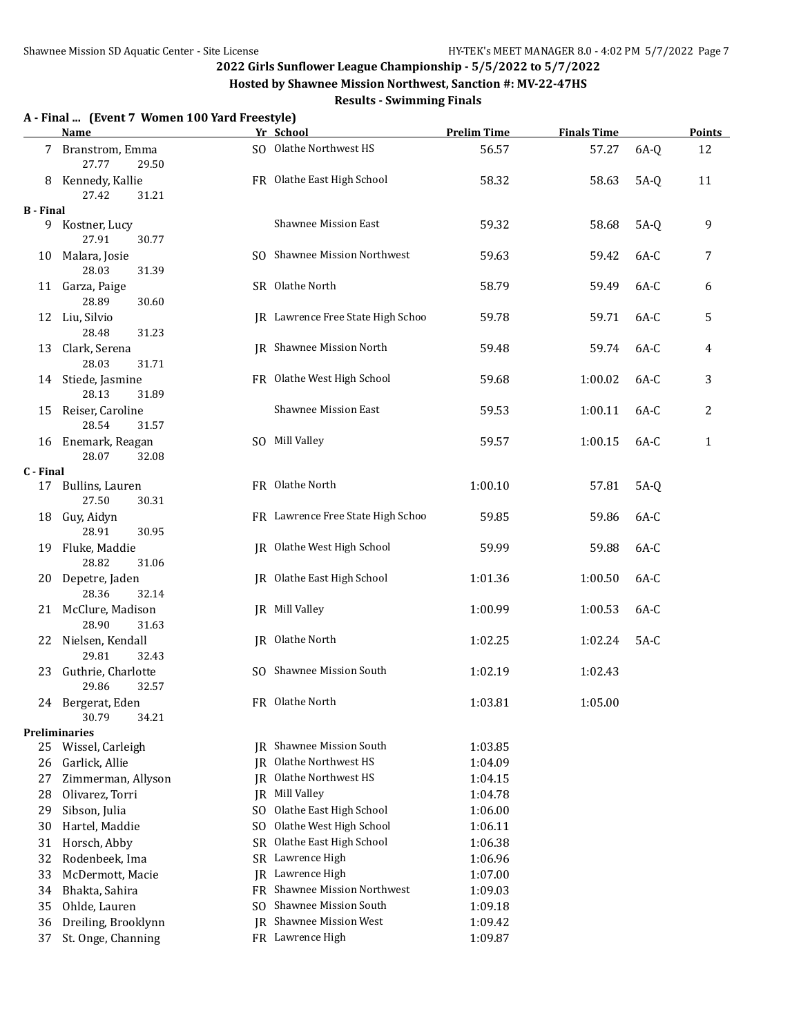**Hosted by Shawnee Mission Northwest, Sanction #: MV-22-47HS**

#### **Results - Swimming Finals**

#### **A - Final ... (Event 7 Women 100 Yard Freestyle) Name Yr School Prelim Time Finals Time Points** 7 Branstrom, Emma SO Olathe Northwest HS 56.57 57.27 6A-Q 12 27.77 29.50 8 Kennedy, Kallie **FR** Olathe East High School 58.32 58.63 5A-Q 11 27.42 31.21 **B - Final** 9 Kostner, Lucy Shawnee Mission East 59.32 58.68 5A-Q 9 27.91 30.77 10 Malara, Josie SO Shawnee Mission Northwest 59.63 59.42 6A-C 7 28.03 31.39 11 Garza, Paige 64-C 6 SR Olathe North 58.79 59.49 6A-C 6 28.89 30.60 12 Liu, Silvio JR Lawrence Free State High Schoo 59.78 59.71 6A-C 5 28.48 31.23 13 Clark, Serena **13 Clark, Serena** JR Shawnee Mission North 59.48 59.74 6A-C 4 28.03 31.71 14 Stiede, Jasmine FR Olathe West High School 59.68 1:00.02 6A-C 3 28.13 31.89 15 Reiser, Caroline Shawnee Mission East 59.53 1:00.11 6A-C 2 28.54 31.57 16 Enemark, Reagan SO Mill Valley 59.57 1:00.15 6A-C 1 28.07 32.08 **C - Final** 17 Bullins, Lauren FR Olathe North 1:00.10 57.81 5A-Q 27.50 30.31 18 Guy, Aidyn FR Lawrence Free State High Schoo 59.85 59.86 6A-C 28.91 30.95 19 Fluke, Maddie JR Olathe West High School 59.99 59.88 6A-C 28.82 31.06 20 Depetre, Jaden JR Olathe East High School 1:01.36 1:00.50 6A-C 28.36 32.14 21 McClure, Madison JR Mill Valley 1:00.99 1:00.53 6A-C 28.90 31.63 22 Nielsen, Kendall **IR Olathe North 1:02.25** 1:02.25 1:02.24 5A-C 29.81 32.43 23 Guthrie, Charlotte SO Shawnee Mission South 1:02.19 1:02.43 29.86 32.57 24 Bergerat, Eden FR Olathe North 1:03.81 1:05.00 30.79 34.21 **Preliminaries** 25 Wissel, Carleigh JR Shawnee Mission South 1:03.85 26 Garlick, Allie **I.2.4.09** JR Olathe Northwest HS 1:04.09 27 Zimmerman, Allyson JR Olathe Northwest HS 1:04.15 28 Olivarez, Torri JR Mill Valley 1:04.78 29 Sibson, Julia SO Olathe East High School 1:06.00 30 Hartel, Maddie SO Olathe West High School 1:06.11 31 Horsch, Abby SR Olathe East High School 1:06.38 32 Rodenbeek, Ima SR Lawrence High 1:06.96 33 McDermott, Macie JR Lawrence High 1:07.00 34 Bhakta, Sahira FR Shawnee Mission Northwest 1:09.03 35 Ohlde, Lauren SO Shawnee Mission South 1:09.18 36 Dreiling, Brooklynn JR Shawnee Mission West 1:09.42 37 St. Onge, Channing FR Lawrence High 1:09.87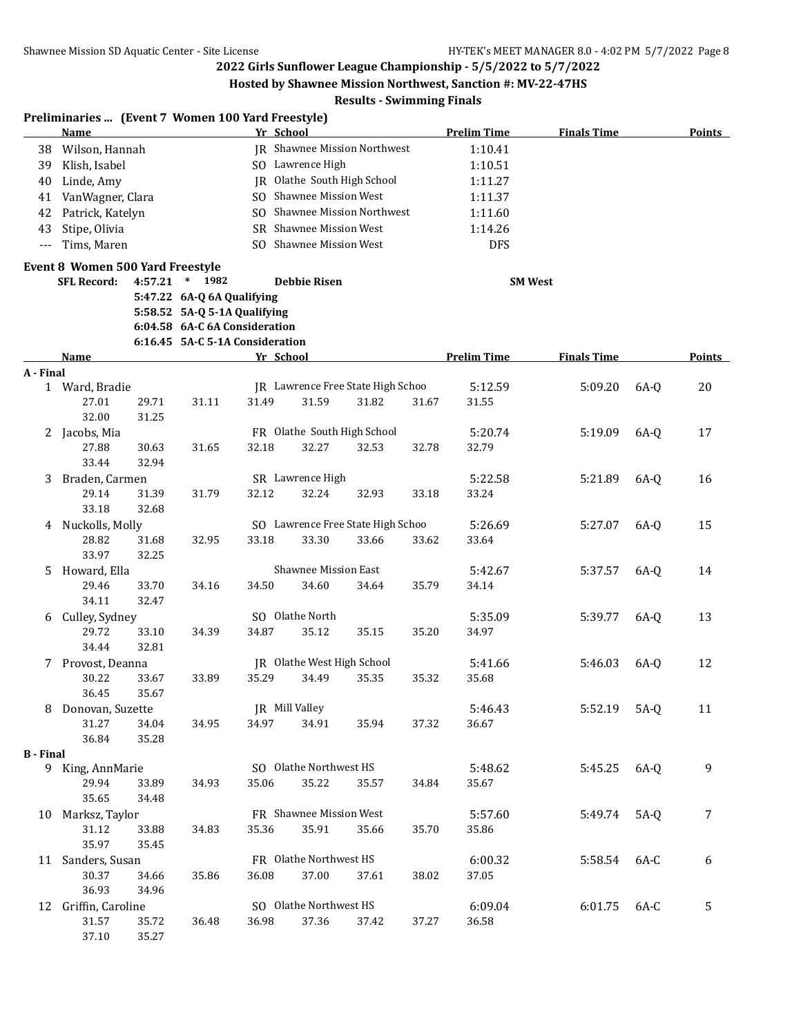**Hosted by Shawnee Mission Northwest, Sanction #: MV-22-47HS**

|                  | Preliminaries  (Event 7 Women 100 Yard Freestyle)<br><b>Name</b> |                |                                                            | Yr School |                             |                                   |       | <b>Prelim Time</b> | <b>Finals Time</b> |        | <b>Points</b> |
|------------------|------------------------------------------------------------------|----------------|------------------------------------------------------------|-----------|-----------------------------|-----------------------------------|-------|--------------------|--------------------|--------|---------------|
| 38               | Wilson, Hannah                                                   |                |                                                            |           |                             | JR Shawnee Mission Northwest      |       | 1:10.41            |                    |        |               |
| 39               | Klish, Isabel                                                    |                |                                                            |           | SO Lawrence High            |                                   |       | 1:10.51            |                    |        |               |
| 40               | Linde, Amy                                                       |                |                                                            |           |                             | JR Olathe South High School       |       | 1:11.27            |                    |        |               |
|                  |                                                                  |                |                                                            |           | SO Shawnee Mission West     |                                   |       |                    |                    |        |               |
| 41               | VanWagner, Clara                                                 |                |                                                            |           |                             | SO Shawnee Mission Northwest      |       | 1:11.37            |                    |        |               |
| 42               | Patrick, Katelyn                                                 |                |                                                            |           |                             |                                   |       | 1:11.60            |                    |        |               |
| 43               | Stipe, Olivia                                                    |                |                                                            |           | SR Shawnee Mission West     |                                   |       | 1:14.26            |                    |        |               |
| $---$            | Tims, Maren                                                      |                |                                                            |           | SO Shawnee Mission West     |                                   |       | <b>DFS</b>         |                    |        |               |
|                  | Event 8 Women 500 Yard Freestyle<br><b>SFL Record:</b>           | 4:57.21        | $*$ 1982                                                   |           | <b>Debbie Risen</b>         |                                   |       | <b>SM West</b>     |                    |        |               |
|                  |                                                                  |                |                                                            |           |                             |                                   |       |                    |                    |        |               |
|                  |                                                                  |                | 5:47.22 6A-Q 6A Qualifying<br>5:58.52 5A-Q 5-1A Qualifying |           |                             |                                   |       |                    |                    |        |               |
|                  |                                                                  |                | 6:04.58 6A-C 6A Consideration                              |           |                             |                                   |       |                    |                    |        |               |
|                  |                                                                  |                | 6:16.45 5A-C 5-1A Consideration                            |           |                             |                                   |       |                    |                    |        |               |
|                  | Name                                                             |                |                                                            | Yr School |                             |                                   |       | <b>Prelim Time</b> | <b>Finals Time</b> |        | <b>Points</b> |
| A - Final        |                                                                  |                |                                                            |           |                             |                                   |       |                    |                    |        |               |
|                  | 1 Ward, Bradie                                                   |                |                                                            |           |                             | IR Lawrence Free State High Schoo |       | 5:12.59            | 5:09.20            | 6A-0   | 20            |
|                  | 27.01                                                            | 29.71          | 31.11                                                      | 31.49     | 31.59                       | 31.82                             | 31.67 | 31.55              |                    |        |               |
|                  | 32.00                                                            | 31.25          |                                                            |           |                             |                                   |       |                    |                    |        |               |
|                  | 2 Jacobs, Mia                                                    |                |                                                            |           |                             | FR Olathe South High School       |       | 5:20.74            | 5:19.09            | 6A-0   | 17            |
|                  | 27.88                                                            | 30.63          | 31.65                                                      | 32.18     | 32.27                       | 32.53                             | 32.78 | 32.79              |                    |        |               |
|                  | 33.44                                                            | 32.94          |                                                            |           |                             |                                   |       |                    |                    |        |               |
| 3                | Braden, Carmen                                                   |                |                                                            |           | SR Lawrence High            |                                   |       | 5:22.58            | 5:21.89            | 6A-0   | 16            |
|                  | 29.14                                                            | 31.39          | 31.79                                                      | 32.12     | 32.24                       | 32.93                             | 33.18 | 33.24              |                    |        |               |
|                  | 33.18                                                            | 32.68          |                                                            |           |                             |                                   |       |                    |                    |        |               |
| 4                | Nuckolls, Molly                                                  |                |                                                            |           |                             | SO Lawrence Free State High Schoo |       | 5:26.69            | 5:27.07            | $6A-0$ | 15            |
|                  | 28.82                                                            | 31.68          | 32.95                                                      | 33.18     | 33.30                       | 33.66                             | 33.62 | 33.64              |                    |        |               |
|                  | 33.97                                                            | 32.25          |                                                            |           |                             |                                   |       |                    |                    |        |               |
| 5                | Howard, Ella                                                     |                |                                                            |           | <b>Shawnee Mission East</b> |                                   |       | 5:42.67            | 5:37.57            | $6A-Q$ | 14            |
|                  | 29.46                                                            | 33.70          | 34.16                                                      | 34.50     | 34.60                       | 34.64                             | 35.79 | 34.14              |                    |        |               |
|                  | 34.11                                                            | 32.47          |                                                            |           |                             |                                   |       |                    |                    |        |               |
| 6                | Culley, Sydney                                                   |                |                                                            |           | SO Olathe North             |                                   |       | 5:35.09            | 5:39.77            | $6A-Q$ | 13            |
|                  | 29.72                                                            | 33.10          | 34.39                                                      | 34.87     | 35.12                       | 35.15                             | 35.20 | 34.97              |                    |        |               |
|                  | 34.44                                                            | 32.81          |                                                            |           |                             |                                   |       |                    |                    |        |               |
|                  | 7 Provost, Deanna                                                |                |                                                            |           | JR Olathe West High School  |                                   |       | 5:41.66            | 5:46.03            | $6A-Q$ | 12            |
|                  | 30.22                                                            | 33.67          | 33.89                                                      | 35.29     | 34.49                       | 35.35                             | 35.32 | 35.68              |                    |        |               |
|                  | 36.45                                                            | 35.67          |                                                            |           |                             |                                   |       |                    |                    |        |               |
| 8                | Donovan, Suzette                                                 |                |                                                            |           | JR Mill Valley              |                                   |       | 5:46.43            | 5:52.19            | $5A-Q$ | 11            |
|                  | 31.27                                                            | 34.04          | 34.95                                                      | 34.97     | 34.91                       | 35.94                             | 37.32 | 36.67              |                    |        |               |
|                  | 36.84                                                            | 35.28          |                                                            |           |                             |                                   |       |                    |                    |        |               |
| <b>B</b> - Final |                                                                  |                |                                                            |           | SO Olathe Northwest HS      |                                   |       |                    |                    |        |               |
|                  | 9 King, AnnMarie<br>29.94                                        |                |                                                            |           |                             | 35.57                             |       | 5:48.62            | 5:45.25            | $6A-Q$ | 9             |
|                  | 35.65                                                            | 33.89<br>34.48 | 34.93                                                      | 35.06     | 35.22                       |                                   | 34.84 | 35.67              |                    |        |               |
|                  | Marksz, Taylor                                                   |                |                                                            |           | FR Shawnee Mission West     |                                   |       | 5:57.60            |                    |        |               |
| 10               | 31.12                                                            | 33.88          | 34.83                                                      | 35.36     | 35.91                       | 35.66                             | 35.70 | 35.86              | 5:49.74            | $5A-Q$ | 7             |
|                  | 35.97                                                            | 35.45          |                                                            |           |                             |                                   |       |                    |                    |        |               |
|                  | 11 Sanders, Susan                                                |                |                                                            |           | FR Olathe Northwest HS      |                                   |       | 6:00.32            | 5:58.54            | 6A-C   | 6             |
|                  | 30.37                                                            | 34.66          | 35.86                                                      | 36.08     | 37.00                       | 37.61                             | 38.02 | 37.05              |                    |        |               |
|                  | 36.93                                                            | 34.96          |                                                            |           |                             |                                   |       |                    |                    |        |               |
|                  | 12 Griffin, Caroline                                             |                |                                                            |           | SO Olathe Northwest HS      |                                   |       | 6:09.04            | 6:01.75            | 6A-C   | 5             |
|                  | 31.57                                                            | 35.72          | 36.48                                                      | 36.98     | 37.36                       | 37.42                             | 37.27 | 36.58              |                    |        |               |
|                  | 37.10                                                            | 35.27          |                                                            |           |                             |                                   |       |                    |                    |        |               |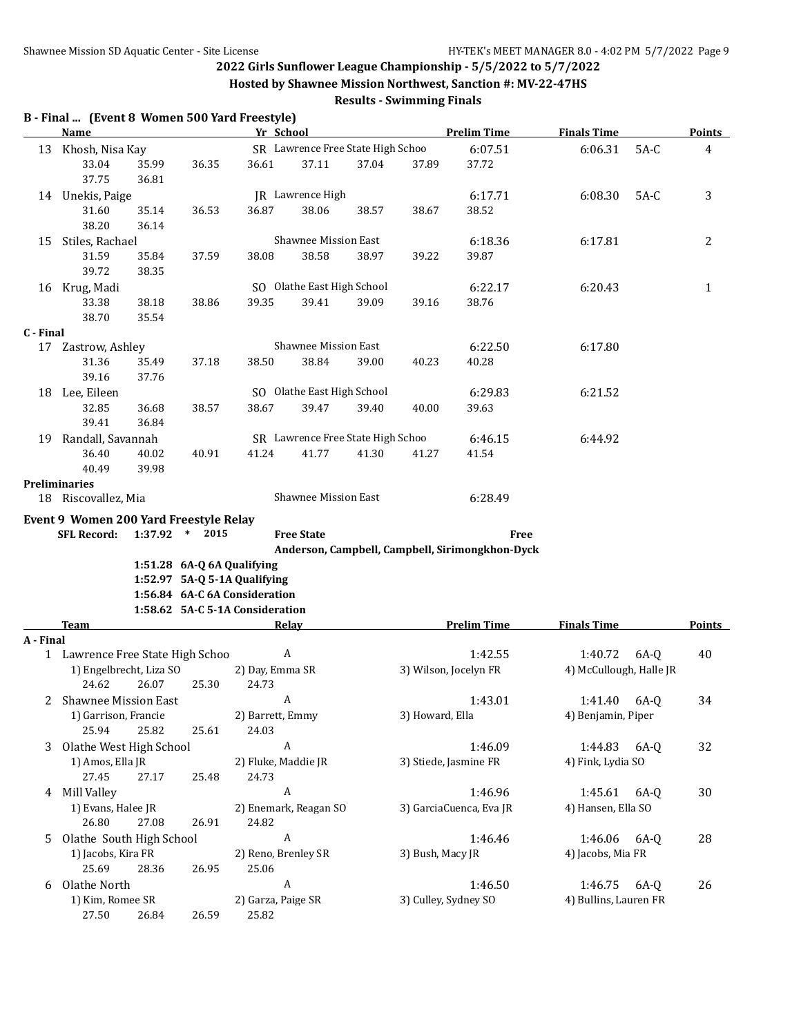**Hosted by Shawnee Mission Northwest, Sanction #: MV-22-47HS**

|           | B - Final  (Event 8 Women 500 Yard Freestyle)<br><b>Name</b> |                |                            | Yr School                       |                                     |       |                      | <b>Prelim Time</b>                              | <b>Finals Time</b>                 |        | <b>Points</b> |
|-----------|--------------------------------------------------------------|----------------|----------------------------|---------------------------------|-------------------------------------|-------|----------------------|-------------------------------------------------|------------------------------------|--------|---------------|
| 13        | Khosh, Nisa Kay                                              |                |                            |                                 | SR Lawrence Free State High Schoo   |       |                      | 6:07.51                                         | 6:06.31                            | $5A-C$ | 4             |
|           | 33.04<br>37.75                                               | 35.99<br>36.81 | 36.35                      | 36.61                           | 37.11                               | 37.04 | 37.89                | 37.72                                           |                                    |        |               |
|           | 14 Unekis, Paige                                             |                |                            |                                 | <b>JR</b> Lawrence High             |       |                      | 6:17.71                                         | 6:08.30                            | $5A-C$ | 3             |
|           | 31.60                                                        | 35.14          | 36.53                      | 36.87                           | 38.06                               | 38.57 | 38.67                | 38.52                                           |                                    |        |               |
|           | 38.20                                                        | 36.14          |                            |                                 |                                     |       |                      |                                                 |                                    |        |               |
| 15        | Stiles, Rachael                                              |                |                            |                                 | Shawnee Mission East                |       |                      | 6:18.36                                         | 6:17.81                            |        | 2             |
|           | 31.59<br>39.72                                               | 35.84<br>38.35 | 37.59                      | 38.08                           | 38.58                               | 38.97 | 39.22                | 39.87                                           |                                    |        |               |
|           | 16 Krug, Madi                                                |                |                            |                                 | SO Olathe East High School          |       |                      | 6:22.17                                         | 6:20.43                            |        | 1             |
|           | 33.38<br>38.70                                               | 38.18<br>35.54 | 38.86                      | 39.35                           | 39.41                               | 39.09 | 39.16                | 38.76                                           |                                    |        |               |
| C - Final |                                                              |                |                            |                                 |                                     |       |                      |                                                 |                                    |        |               |
| 17        | Zastrow, Ashley                                              |                |                            |                                 | Shawnee Mission East                |       |                      | 6:22.50                                         | 6:17.80                            |        |               |
|           | 31.36                                                        | 35.49          | 37.18                      | 38.50                           | 38.84                               | 39.00 | 40.23                | 40.28                                           |                                    |        |               |
|           | 39.16                                                        | 37.76          |                            |                                 |                                     |       |                      |                                                 |                                    |        |               |
|           | 18 Lee, Eileen                                               | 36.68          |                            |                                 | SO Olathe East High School<br>39.47 |       |                      | 6:29.83                                         | 6:21.52                            |        |               |
|           | 32.85<br>39.41                                               | 36.84          | 38.57                      | 38.67                           |                                     | 39.40 | 40.00                | 39.63                                           |                                    |        |               |
|           | 19 Randall, Savannah                                         |                |                            |                                 | SR Lawrence Free State High Schoo   |       |                      | 6:46.15                                         | 6:44.92                            |        |               |
|           | 36.40<br>40.49                                               | 40.02<br>39.98 | 40.91                      | 41.24                           | 41.77                               | 41.30 | 41.27                | 41.54                                           |                                    |        |               |
|           | <b>Preliminaries</b>                                         |                |                            |                                 |                                     |       |                      |                                                 |                                    |        |               |
|           | 18 Riscovallez, Mia                                          |                |                            |                                 | Shawnee Mission East                |       |                      | 6:28.49                                         |                                    |        |               |
|           | Event 9 Women 200 Yard Freestyle Relay                       |                |                            |                                 |                                     |       |                      |                                                 |                                    |        |               |
|           | <b>SFL Record:</b>                                           | 1:37.92        | $*$ 2015                   |                                 | <b>Free State</b>                   |       |                      | <b>Free</b>                                     |                                    |        |               |
|           |                                                              |                |                            |                                 |                                     |       |                      | Anderson, Campbell, Campbell, Sirimongkhon-Dyck |                                    |        |               |
|           |                                                              |                | 1:51.28 6A-Q 6A Qualifying |                                 |                                     |       |                      |                                                 |                                    |        |               |
|           |                                                              |                |                            | 1:52.97 5A-Q 5-1A Qualifying    |                                     |       |                      |                                                 |                                    |        |               |
|           |                                                              |                |                            | 1:56.84 6A-C 6A Consideration   |                                     |       |                      |                                                 |                                    |        |               |
|           |                                                              |                |                            | 1:58.62 5A-C 5-1A Consideration |                                     |       |                      |                                                 |                                    |        |               |
|           | <b>Team</b>                                                  |                |                            |                                 | <b>Relay</b>                        |       |                      | <b>Prelim Time</b>                              | <b>Finals Time</b>                 |        | <b>Points</b> |
| A - Final | 1 Lawrence Free State High Schoo                             |                |                            |                                 | A                                   |       |                      | 1:42.55                                         |                                    |        | 40            |
|           | 1) Engelbrecht, Liza SO                                      |                |                            | 2) Day, Emma SR                 |                                     |       |                      | 3) Wilson, Jocelyn FR                           | 1:40.72<br>4) McCullough, Halle JR | $6A-Q$ |               |
|           | 24.62                                                        | 26.07          | 25.30                      | 24.73                           |                                     |       |                      |                                                 |                                    |        |               |
| 2         | <b>Shawnee Mission East</b>                                  |                |                            |                                 | A                                   |       |                      | 1:43.01                                         | 1:41.40                            | $6A-Q$ | 34            |
|           | 1) Garrison, Francie<br>25.94                                | 25.82          | 25.61                      | 2) Barrett, Emmy<br>24.03       |                                     |       | 3) Howard, Ella      |                                                 | 4) Benjamin, Piper                 |        |               |
| 3         | Olathe West High School                                      |                |                            | A                               |                                     |       |                      | 1:46.09                                         | 1:44.83                            | $6A-Q$ | 32            |
|           | 1) Amos, Ella JR                                             |                |                            | 2) Fluke, Maddie JR             |                                     |       |                      | 3) Stiede, Jasmine FR                           | 4) Fink, Lydia SO                  |        |               |
|           | 27.45                                                        | 27.17          | 25.48                      | 24.73                           |                                     |       |                      |                                                 |                                    |        |               |
| 4         | Mill Valley                                                  |                |                            | $\boldsymbol{A}$                |                                     |       |                      | 1:46.96                                         | 1:45.61                            | $6A-Q$ | 30            |
|           | 1) Evans, Halee JR<br>26.80                                  | 27.08          | 26.91                      | 24.82                           | 2) Enemark, Reagan SO               |       |                      | 3) GarciaCuenca, Eva JR                         | 4) Hansen, Ella SO                 |        |               |
| 5.        | Olathe South High School                                     |                |                            | $\boldsymbol{\mathsf{A}}$       |                                     |       |                      | 1:46.46                                         | 1:46.06                            | 6A-Q   | 28            |
|           | 1) Jacobs, Kira FR<br>25.69                                  | 28.36          | 26.95                      | 2) Reno, Brenley SR<br>25.06    |                                     |       | 3) Bush, Macy JR     |                                                 | 4) Jacobs, Mia FR                  |        |               |
| 6         | Olathe North                                                 |                |                            | $\boldsymbol{A}$                |                                     |       |                      | 1:46.50                                         | 1:46.75                            | 6A-Q   | 26            |
|           | 1) Kim, Romee SR                                             |                |                            | 2) Garza, Paige SR              |                                     |       | 3) Culley, Sydney SO |                                                 | 4) Bullins, Lauren FR              |        |               |
|           | 27.50                                                        | 26.84          | 26.59                      | 25.82                           |                                     |       |                      |                                                 |                                    |        |               |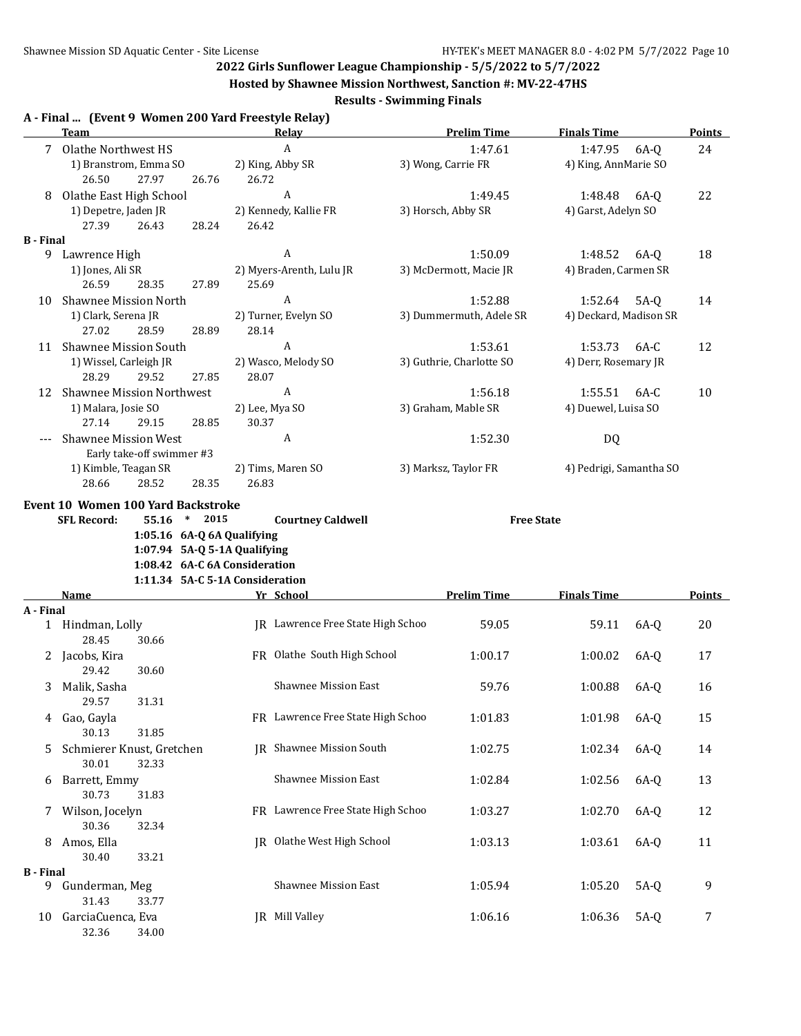32.36 34.00

**2022 Girls Sunflower League Championship - 5/5/2022 to 5/7/2022**

**Hosted by Shawnee Mission Northwest, Sanction #: MV-22-47HS**

|                       |                                                     |          |                |                                   | <b>Results - Swimming Finals</b> | $1103$ can by onawhere phosion for thirdst, ouncilon 111 primary 17 ho |                         |        |               |
|-----------------------|-----------------------------------------------------|----------|----------------|-----------------------------------|----------------------------------|------------------------------------------------------------------------|-------------------------|--------|---------------|
|                       | A - Final  (Event 9 Women 200 Yard Freestyle Relay) |          |                |                                   |                                  |                                                                        |                         |        |               |
|                       | Team                                                |          |                | <b>Relay</b>                      |                                  | <b>Prelim Time</b>                                                     | <b>Finals Time</b>      |        | <b>Points</b> |
|                       | 7 Olathe Northwest HS                               |          |                | $\boldsymbol{A}$                  |                                  | 1:47.61                                                                | 1:47.95                 | 6A-0   | 24            |
|                       | 1) Branstrom, Emma SO                               |          |                | 2) King, Abby SR                  |                                  | 3) Wong, Carrie FR                                                     | 4) King, AnnMarie SO    |        |               |
|                       | 27.97<br>26.50                                      | 26.76    | 26.72          | A                                 |                                  |                                                                        |                         |        |               |
| 8                     | Olathe East High School                             |          |                |                                   |                                  | 1:49.45                                                                | 1:48.48                 | 6A-0   | 22            |
|                       | 1) Depetre, Jaden JR                                |          |                | 2) Kennedy, Kallie FR             |                                  | 3) Horsch, Abby SR                                                     | 4) Garst, Adelyn SO     |        |               |
|                       | 27.39<br>26.43                                      | 28.24    | 26.42          |                                   |                                  |                                                                        |                         |        |               |
| <b>B</b> - Final<br>9 | Lawrence High                                       |          |                | A                                 |                                  | 1:50.09                                                                | 1:48.52 6A-0            |        | 18            |
|                       | 1) Jones, Ali SR                                    |          |                | 2) Myers-Arenth, Lulu JR          |                                  | 3) McDermott, Macie JR                                                 | 4) Braden, Carmen SR    |        |               |
|                       | 26.59<br>28.35                                      | 27.89    | 25.69          |                                   |                                  |                                                                        |                         |        |               |
|                       | <b>Shawnee Mission North</b>                        |          |                | A                                 |                                  | 1:52.88                                                                | 1:52.64                 |        | 14            |
| 10                    |                                                     |          |                |                                   |                                  |                                                                        |                         | $5A-Q$ |               |
|                       | 1) Clark, Serena JR                                 |          |                | 2) Turner, Evelyn SO              |                                  | 3) Dummermuth, Adele SR                                                | 4) Deckard, Madison SR  |        |               |
|                       | 27.02<br>28.59                                      | 28.89    | 28.14          |                                   |                                  |                                                                        |                         |        |               |
|                       | 11 Shawnee Mission South                            |          |                | A                                 |                                  | 1:53.61                                                                | 1:53.73                 | $6A-C$ | 12            |
|                       | 1) Wissel, Carleigh JR                              |          |                | 2) Wasco, Melody SO               |                                  | 3) Guthrie, Charlotte SO                                               | 4) Derr, Rosemary JR    |        |               |
|                       | 28.29<br>29.52                                      | 27.85    | 28.07          |                                   |                                  |                                                                        |                         |        |               |
|                       | 12 Shawnee Mission Northwest                        |          |                | A                                 |                                  | 1:56.18                                                                | 1:55.51                 | 6A-C   | 10            |
|                       | 1) Malara, Josie SO                                 |          | 2) Lee, Mya SO |                                   |                                  | 3) Graham, Mable SR                                                    | 4) Duewel, Luisa SO     |        |               |
|                       | 27.14<br>29.15                                      | 28.85    | 30.37          |                                   |                                  |                                                                        |                         |        |               |
|                       | <b>Shawnee Mission West</b>                         |          |                | A                                 |                                  | 1:52.30                                                                | <b>DQ</b>               |        |               |
|                       | Early take-off swimmer #3                           |          |                |                                   |                                  |                                                                        |                         |        |               |
|                       | 1) Kimble, Teagan SR                                |          |                | 2) Tims, Maren SO                 |                                  | 3) Marksz, Taylor FR                                                   | 4) Pedrigi, Samantha SO |        |               |
|                       | 28.66<br>28.52                                      | 28.35    | 26.83          |                                   |                                  |                                                                        |                         |        |               |
|                       | Event 10 Women 100 Yard Backstroke                  |          |                |                                   |                                  |                                                                        |                         |        |               |
|                       | <b>SFL Record:</b><br>55.16                         | $*$ 2015 |                | <b>Courtney Caldwell</b>          |                                  | <b>Free State</b>                                                      |                         |        |               |
|                       | 1:05.16 6A-Q 6A Qualifying                          |          |                |                                   |                                  |                                                                        |                         |        |               |
|                       | 1:07.94 5A-Q 5-1A Qualifying                        |          |                |                                   |                                  |                                                                        |                         |        |               |
|                       | 1:08.42 6A-C 6A Consideration                       |          |                |                                   |                                  |                                                                        |                         |        |               |
|                       | 1:11.34 5A-C 5-1A Consideration                     |          |                |                                   |                                  |                                                                        |                         |        |               |
|                       | Name                                                |          |                | Yr School                         |                                  | <b>Prelim Time</b>                                                     | <b>Finals Time</b>      |        | Points        |
| A - Final             |                                                     |          |                |                                   |                                  |                                                                        |                         |        |               |
|                       | 1 Hindman, Lolly                                    |          |                | JR Lawrence Free State High Schoo |                                  | 59.05                                                                  | 59.11                   | 6A-Q   | 20            |
|                       | 28.45<br>30.66                                      |          |                |                                   |                                  |                                                                        |                         |        |               |
|                       | 2 Jacobs, Kira                                      |          |                | FR Olathe South High School       |                                  | 1:00.17                                                                | 1:00.02                 | 6A-Q   | 17            |
|                       | 29.42<br>30.60                                      |          |                |                                   |                                  |                                                                        |                         |        |               |
| 3                     | Malik, Sasha                                        |          |                | Shawnee Mission East              |                                  | 59.76                                                                  | 1:00.88                 | $6A-Q$ | 16            |
|                       | 29.57<br>31.31                                      |          |                |                                   |                                  |                                                                        |                         |        |               |
|                       |                                                     |          |                |                                   |                                  |                                                                        |                         |        |               |
| 4                     | Gao, Gayla                                          |          |                | FR Lawrence Free State High Schoo |                                  | 1:01.83                                                                | 1:01.98                 | 6A-Q   | 15            |
|                       | 30.13<br>31.85                                      |          |                |                                   |                                  |                                                                        |                         |        |               |
| 5                     | Schmierer Knust, Gretchen                           |          |                | JR Shawnee Mission South          |                                  | 1:02.75                                                                | 1:02.34                 | $6A-Q$ | 14            |
|                       | 30.01<br>32.33                                      |          |                |                                   |                                  |                                                                        |                         |        |               |
| 6                     | Barrett, Emmy                                       |          |                | <b>Shawnee Mission East</b>       |                                  | 1:02.84                                                                | 1:02.56                 | 6A-Q   | 13            |
|                       | 30.73<br>31.83                                      |          |                |                                   |                                  |                                                                        |                         |        |               |
| 7                     | Wilson, Jocelyn                                     |          |                | FR Lawrence Free State High Schoo |                                  | 1:03.27                                                                | 1:02.70                 | $6A-Q$ | 12            |
|                       | 30.36<br>32.34                                      |          |                |                                   |                                  |                                                                        |                         |        |               |
| 8                     | Amos, Ella                                          |          |                | JR Olathe West High School        |                                  | 1:03.13                                                                | 1:03.61                 | 6A-Q   | 11            |
|                       | 33.21<br>30.40                                      |          |                |                                   |                                  |                                                                        |                         |        |               |
| <b>B</b> - Final      |                                                     |          |                |                                   |                                  |                                                                        |                         |        |               |
|                       | 9 Gunderman, Meg                                    |          |                | Shawnee Mission East              |                                  | 1:05.94                                                                | 1:05.20                 | $5A-Q$ | 9             |
|                       | 31.43<br>33.77                                      |          |                |                                   |                                  |                                                                        |                         |        |               |

10 GarciaCuenca, Eva JR Mill Valley 1:06.16 1:06.36 5A-Q 7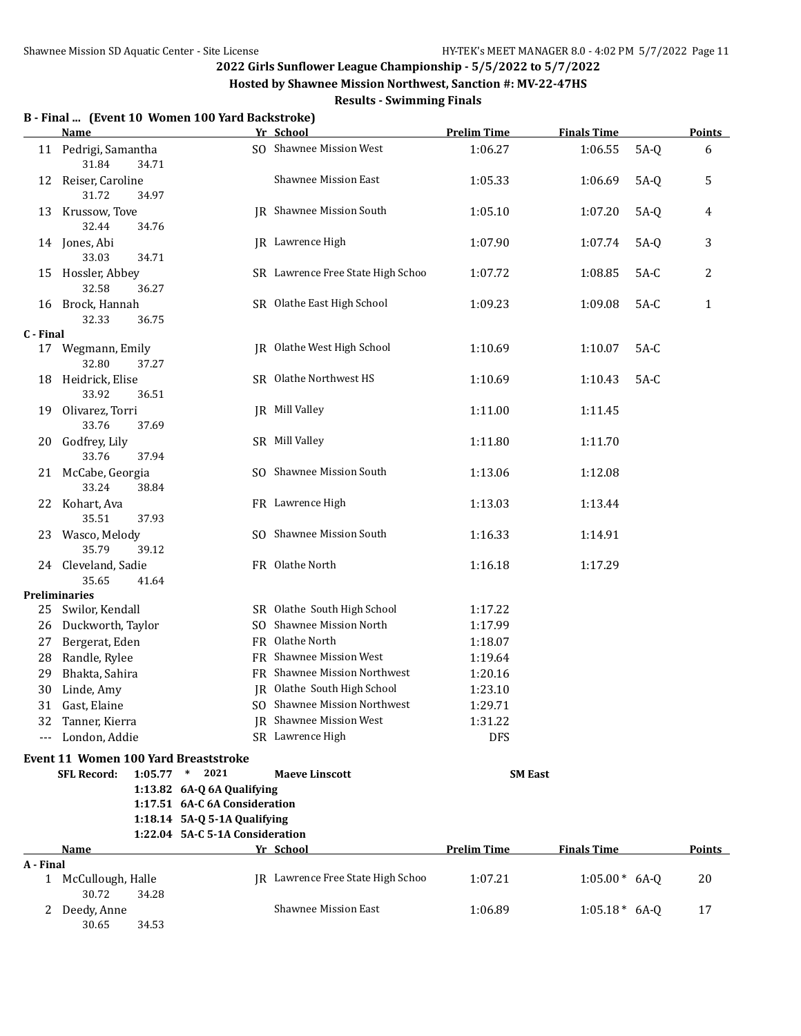**Hosted by Shawnee Mission Northwest, Sanction #: MV-22-47HS**

|           | B - Final  (Event 10 Women 100 Yard Backstroke)<br><b>Name</b>               |                                 | Yr School                         | <b>Prelim Time</b> | <b>Finals Time</b> |        | <b>Points</b> |
|-----------|------------------------------------------------------------------------------|---------------------------------|-----------------------------------|--------------------|--------------------|--------|---------------|
|           | 11 Pedrigi, Samantha<br>31.84<br>34.71                                       |                                 | SO Shawnee Mission West           | 1:06.27            | 1:06.55            | $5A-Q$ | 6             |
|           | 12 Reiser, Caroline<br>31.72<br>34.97                                        |                                 | <b>Shawnee Mission East</b>       | 1:05.33            | 1:06.69            | $5A-Q$ | 5             |
| 13        | Krussow, Tove<br>32.44<br>34.76                                              |                                 | JR Shawnee Mission South          | 1:05.10            | 1:07.20            | $5A-Q$ | 4             |
|           | 14 Jones, Abi<br>33.03<br>34.71                                              |                                 | IR Lawrence High                  | 1:07.90            | 1:07.74            | $5A-Q$ | 3             |
|           | 15 Hossler, Abbey<br>32.58<br>36.27                                          |                                 | SR Lawrence Free State High Schoo | 1:07.72            | 1:08.85            | $5A-C$ | 2             |
| 16        | Brock, Hannah<br>32.33<br>36.75                                              |                                 | SR Olathe East High School        | 1:09.23            | 1:09.08            | $5A-C$ | $\mathbf{1}$  |
| C - Final |                                                                              |                                 |                                   |                    |                    |        |               |
| 17        | Wegmann, Emily<br>32.80<br>37.27                                             |                                 | JR Olathe West High School        | 1:10.69            | 1:10.07            | $5A-C$ |               |
| 18        | Heidrick, Elise<br>33.92<br>36.51                                            |                                 | SR Olathe Northwest HS            | 1:10.69            | 1:10.43            | $5A-C$ |               |
|           | 19 Olivarez, Torri<br>33.76<br>37.69                                         |                                 | JR Mill Valley                    | 1:11.00            | 1:11.45            |        |               |
|           | 20 Godfrey, Lily<br>33.76<br>37.94                                           |                                 | SR Mill Valley                    | 1:11.80            | 1:11.70            |        |               |
|           | 21 McCabe, Georgia<br>33.24<br>38.84                                         |                                 | SO Shawnee Mission South          | 1:13.06            | 1:12.08            |        |               |
|           | 22 Kohart, Ava<br>35.51<br>37.93                                             |                                 | FR Lawrence High                  | 1:13.03            | 1:13.44            |        |               |
|           | 23 Wasco, Melody<br>35.79<br>39.12                                           |                                 | SO Shawnee Mission South          | 1:16.33            | 1:14.91            |        |               |
|           | 24 Cleveland, Sadie<br>35.65<br>41.64                                        |                                 | FR Olathe North                   | 1:16.18            | 1:17.29            |        |               |
|           | <b>Preliminaries</b>                                                         |                                 |                                   |                    |                    |        |               |
|           | 25 Swilor, Kendall                                                           |                                 | SR Olathe South High School       | 1:17.22            |                    |        |               |
| 26        | Duckworth, Taylor                                                            |                                 | SO Shawnee Mission North          | 1:17.99            |                    |        |               |
| 27        | Bergerat, Eden                                                               |                                 | FR Olathe North                   | 1:18.07            |                    |        |               |
| 28        | Randle, Rylee                                                                |                                 | FR Shawnee Mission West           | 1:19.64            |                    |        |               |
| 29        | Bhakta, Sahira                                                               |                                 | FR Shawnee Mission Northwest      | 1:20.16            |                    |        |               |
| 30        | Linde, Amy                                                                   |                                 | JR Olathe South High School       | 1:23.10            |                    |        |               |
| 31        | Gast, Elaine                                                                 |                                 | SO Shawnee Mission Northwest      | 1:29.71            |                    |        |               |
| 32        | Tanner, Kierra                                                               |                                 | <b>IR</b> Shawnee Mission West    | 1:31.22            |                    |        |               |
| $---$     | London, Addie                                                                |                                 | SR Lawrence High                  | <b>DFS</b>         |                    |        |               |
|           | <b>Event 11 Women 100 Yard Breaststroke</b><br><b>SFL Record:</b><br>1:05.77 | $*$ 2021                        |                                   | <b>SM East</b>     |                    |        |               |
|           |                                                                              | 1:13.82 6A-Q 6A Qualifying      | <b>Maeve Linscott</b>             |                    |                    |        |               |
|           |                                                                              | 1:17.51 6A-C 6A Consideration   |                                   |                    |                    |        |               |
|           |                                                                              | 1:18.14 5A-Q 5-1A Qualifying    |                                   |                    |                    |        |               |
|           |                                                                              | 1:22.04 5A-C 5-1A Consideration |                                   |                    |                    |        |               |
|           | Name                                                                         |                                 | Yr School                         | <b>Prelim Time</b> | <b>Finals Time</b> |        | <b>Points</b> |
| A - Final |                                                                              |                                 |                                   |                    |                    |        |               |
|           | 1 McCullough, Halle<br>30.72<br>34.28                                        |                                 | JR Lawrence Free State High Schoo | 1:07.21            | $1:05.00*$ 6A-Q    |        | 20            |
| 2         | Deedy, Anne<br>30.65<br>34.53                                                |                                 | <b>Shawnee Mission East</b>       | 1:06.89            | $1:05.18*$ 6A-Q    |        | 17            |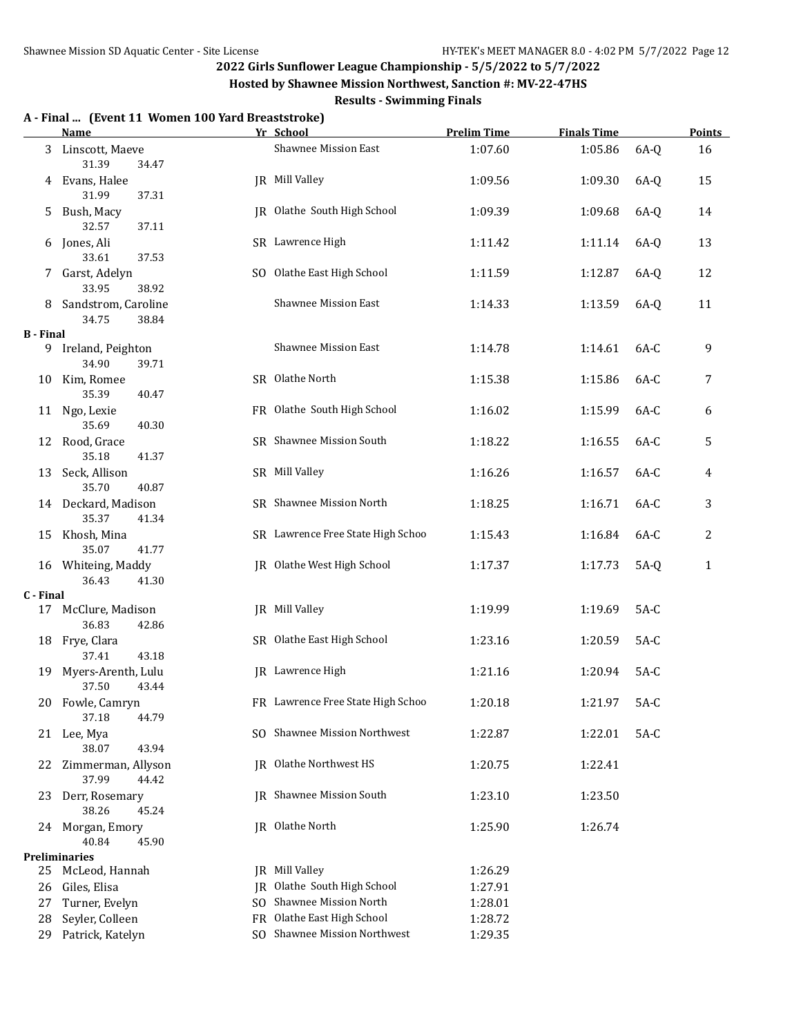**A - Final ... (Event 11 Women 100 Yard Breaststroke)**

### **2022 Girls Sunflower League Championship - 5/5/2022 to 5/7/2022**

**Hosted by Shawnee Mission Northwest, Sanction #: MV-22-47HS**

|                  | <b>Name</b>                             |     | Yr School                         | <b>Prelim Time</b> | <b>Finals Time</b> |        | <b>Points</b> |
|------------------|-----------------------------------------|-----|-----------------------------------|--------------------|--------------------|--------|---------------|
|                  | 3 Linscott, Maeve<br>31.39<br>34.47     |     | Shawnee Mission East              | 1:07.60            | 1:05.86            | 6A-Q   | 16            |
| 4                | Evans, Halee<br>31.99<br>37.31          |     | JR Mill Valley                    | 1:09.56            | 1:09.30            | 6A-Q   | 15            |
| 5.               | Bush, Macy<br>32.57<br>37.11            |     | JR Olathe South High School       | 1:09.39            | 1:09.68            | 6A-Q   | 14            |
| 6                | Jones, Ali<br>33.61<br>37.53            |     | SR Lawrence High                  | 1:11.42            | 1:11.14            | $6A-Q$ | 13            |
|                  | 7 Garst, Adelyn<br>33.95<br>38.92       |     | SO Olathe East High School        | 1:11.59            | 1:12.87            | 6A-Q   | 12            |
| 8                | Sandstrom, Caroline<br>34.75<br>38.84   |     | <b>Shawnee Mission East</b>       | 1:14.33            | 1:13.59            | 6A-Q   | 11            |
| <b>B</b> - Final |                                         |     |                                   |                    |                    |        |               |
|                  | 9 Ireland, Peighton<br>34.90<br>39.71   |     | <b>Shawnee Mission East</b>       | 1:14.78            | 1:14.61            | $6A-C$ | 9             |
|                  | 10 Kim, Romee<br>35.39<br>40.47         |     | SR Olathe North                   | 1:15.38            | 1:15.86            | 6A-C   | 7             |
|                  | 11 Ngo, Lexie<br>40.30<br>35.69         |     | FR Olathe South High School       | 1:16.02            | 1:15.99            | 6A-C   | 6             |
|                  | 12 Rood, Grace<br>35.18<br>41.37        |     | SR Shawnee Mission South          | 1:18.22            | 1:16.55            | 6A-C   | 5             |
|                  | 13 Seck, Allison<br>35.70<br>40.87      |     | SR Mill Valley                    | 1:16.26            | 1:16.57            | 6A-C   | 4             |
|                  | 14 Deckard, Madison<br>35.37<br>41.34   |     | SR Shawnee Mission North          | 1:18.25            | 1:16.71            | $6A-C$ | 3             |
|                  | 15 Khosh, Mina<br>35.07<br>41.77        |     | SR Lawrence Free State High Schoo | 1:15.43            | 1:16.84            | $6A-C$ | 2             |
|                  | 16 Whiteing, Maddy<br>36.43<br>41.30    |     | JR Olathe West High School        | 1:17.37            | 1:17.73            | $5A-Q$ | $\mathbf{1}$  |
| C - Final        |                                         |     |                                   |                    |                    |        |               |
|                  | 17 McClure, Madison<br>36.83<br>42.86   |     | JR Mill Valley                    | 1:19.99            | 1:19.69            | $5A-C$ |               |
|                  | 18 Frye, Clara<br>37.41<br>43.18        |     | SR Olathe East High School        | 1:23.16            | 1:20.59            | $5A-C$ |               |
|                  | 19 Myers-Arenth, Lulu<br>37.50<br>43.44 |     | <b>IR</b> Lawrence High           | 1:21.16            | 1:20.94            | $5A-C$ |               |
|                  | 20 Fowle, Camryn<br>37.18<br>44.79      |     | FR Lawrence Free State High Schoo | 1:20.18            | 1:21.97            | $5A-C$ |               |
|                  | 21 Lee, Mya<br>38.07<br>43.94           |     | SO Shawnee Mission Northwest      | 1:22.87            | 1:22.01            | $5A-C$ |               |
| 22               | Zimmerman, Allyson<br>37.99<br>44.42    |     | JR Olathe Northwest HS            | 1:20.75            | 1:22.41            |        |               |
| 23               | Derr, Rosemary<br>38.26<br>45.24        |     | <b>IR</b> Shawnee Mission South   | 1:23.10            | 1:23.50            |        |               |
|                  | 24 Morgan, Emory<br>40.84<br>45.90      |     | JR Olathe North                   | 1:25.90            | 1:26.74            |        |               |
|                  | <b>Preliminaries</b>                    |     |                                   |                    |                    |        |               |
| 25               | McLeod, Hannah                          | IR  | Mill Valley                       | 1:26.29            |                    |        |               |
| 26               | Giles, Elisa                            | IR  | Olathe South High School          | 1:27.91            |                    |        |               |
| 27               | Turner, Evelyn                          | SO. | Shawnee Mission North             | 1:28.01            |                    |        |               |
| 28               | Seyler, Colleen                         | FR. | Olathe East High School           | 1:28.72            |                    |        |               |
| 29               | Patrick, Katelyn                        | SO. | Shawnee Mission Northwest         | 1:29.35            |                    |        |               |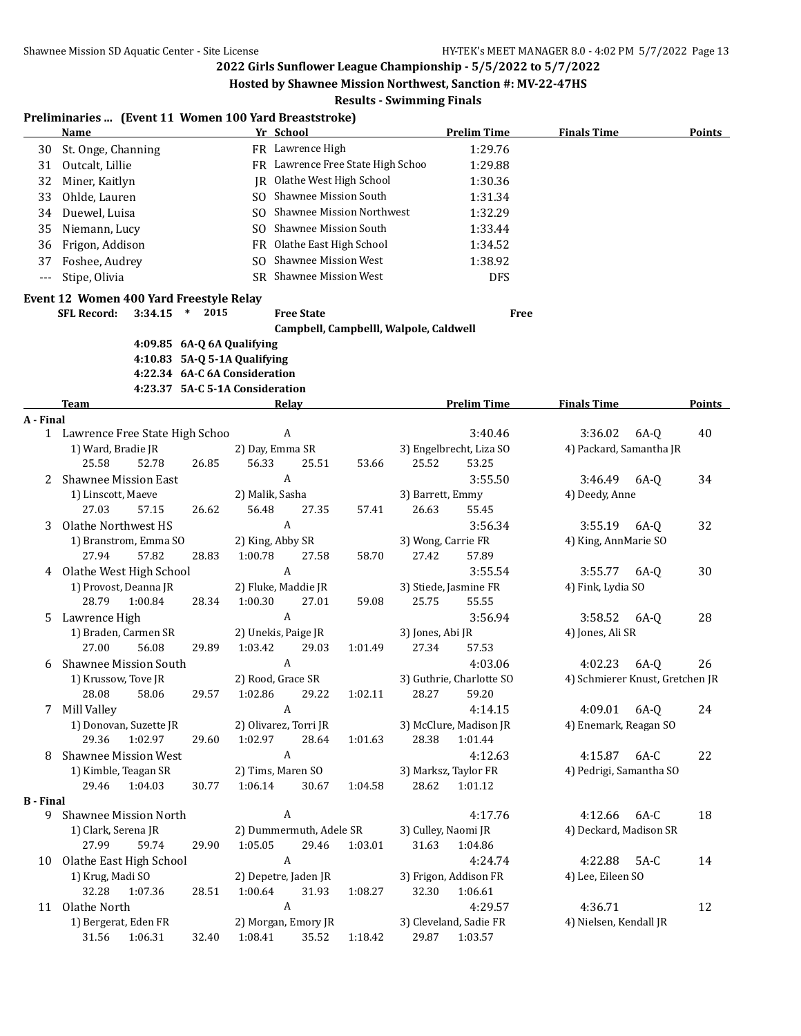**Hosted by Shawnee Mission Northwest, Sanction #: MV-22-47HS**

|                  | Preliminaries  (Event 11 Women 100 Yard Breaststroke)<br><b>Name</b> |       |                 | Yr School                              |         |                     | <b>Prelim Time</b>       | <b>Finals Time</b>              | <b>Points</b> |
|------------------|----------------------------------------------------------------------|-------|-----------------|----------------------------------------|---------|---------------------|--------------------------|---------------------------------|---------------|
| 30               | St. Onge, Channing                                                   |       |                 | FR Lawrence High                       |         |                     | 1:29.76                  |                                 |               |
| 31               | Outcalt, Lillie                                                      |       |                 | FR Lawrence Free State High Schoo      |         |                     | 1:29.88                  |                                 |               |
| 32               | Miner, Kaitlyn                                                       |       |                 | JR Olathe West High School             |         |                     | 1:30.36                  |                                 |               |
| 33               | Ohlde, Lauren                                                        |       |                 | SO Shawnee Mission South               |         |                     | 1:31.34                  |                                 |               |
| 34               | Duewel, Luisa                                                        |       | SO.             | <b>Shawnee Mission Northwest</b>       |         |                     | 1:32.29                  |                                 |               |
|                  | Niemann, Lucy                                                        |       | SO.             | <b>Shawnee Mission South</b>           |         |                     | 1:33.44                  |                                 |               |
| 35               |                                                                      |       |                 |                                        |         |                     |                          |                                 |               |
| 36               | Frigon, Addison                                                      |       | FR.             | Olathe East High School                |         |                     | 1:34.52                  |                                 |               |
| 37               | Foshee, Audrey                                                       |       | SO.             | <b>Shawnee Mission West</b>            |         |                     | 1:38.92                  |                                 |               |
| $---$            | Stipe, Olivia                                                        |       |                 | SR Shawnee Mission West                |         |                     | <b>DFS</b>               |                                 |               |
|                  | Event 12 Women 400 Yard Freestyle Relay                              |       |                 |                                        |         |                     |                          |                                 |               |
|                  | <b>SFL Record:</b><br>$3:34.15$ *                                    | 2015  |                 | <b>Free State</b>                      |         |                     | <b>Free</b>              |                                 |               |
|                  |                                                                      |       |                 | Campbell, Campbelll, Walpole, Caldwell |         |                     |                          |                                 |               |
|                  | 4:09.85 6A-Q 6A Qualifying                                           |       |                 |                                        |         |                     |                          |                                 |               |
|                  | 4:10.83 5A-Q 5-1A Qualifying                                         |       |                 |                                        |         |                     |                          |                                 |               |
|                  | 4:22.34 6A-C 6A Consideration                                        |       |                 |                                        |         |                     |                          |                                 |               |
|                  | 4:23.37 5A-C 5-1A Consideration                                      |       |                 |                                        |         |                     |                          |                                 |               |
|                  | <b>Team</b>                                                          |       |                 | Relay                                  |         |                     | <b>Prelim Time</b>       | <b>Finals Time</b>              | <b>Points</b> |
| A - Final        |                                                                      |       |                 |                                        |         |                     |                          |                                 |               |
|                  | 1 Lawrence Free State High Schoo                                     |       |                 | A                                      |         |                     | 3:40.46                  | 3:36.02                         | 6A-0<br>40    |
|                  | 1) Ward, Bradie JR                                                   |       |                 | 2) Day, Emma SR                        |         |                     | 3) Engelbrecht, Liza SO  | 4) Packard, Samantha JR         |               |
|                  | 25.58<br>52.78                                                       | 26.85 | 56.33           | 25.51                                  | 53.66   | 25.52               | 53.25                    |                                 |               |
| 2                | <b>Shawnee Mission East</b>                                          |       |                 | A                                      |         |                     | 3:55.50                  | 3:46.49                         | 34<br>6A-Q    |
|                  | 1) Linscott, Maeve                                                   |       | 2) Malik, Sasha |                                        |         | 3) Barrett, Emmy    |                          | 4) Deedy, Anne                  |               |
|                  | 27.03<br>57.15                                                       | 26.62 | 56.48           | 27.35                                  | 57.41   | 26.63               | 55.45                    |                                 |               |
| 3                | Olathe Northwest HS                                                  |       |                 | A                                      |         |                     | 3:56.34                  | 3:55.19                         | 32<br>6A-Q    |
|                  | 1) Branstrom, Emma SO                                                |       |                 | 2) King, Abby SR                       |         | 3) Wong, Carrie FR  |                          | 4) King, AnnMarie SO            |               |
|                  | 27.94<br>57.82                                                       | 28.83 | 1:00.78         | 27.58                                  | 58.70   | 27.42               | 57.89                    |                                 |               |
| 4                | Olathe West High School                                              |       |                 | A                                      |         |                     | 3:55.54                  | 3:55.77                         | 30<br>6A-0    |
|                  | 1) Provost, Deanna JR                                                |       |                 | 2) Fluke, Maddie JR                    |         |                     | 3) Stiede, Jasmine FR    | 4) Fink, Lydia SO               |               |
|                  | 28.79<br>1:00.84                                                     | 28.34 | 1:00.30         | 27.01                                  | 59.08   | 25.75               | 55.55                    |                                 |               |
| 5                | Lawrence High                                                        |       |                 | A                                      |         |                     | 3:56.94                  | 3:58.52                         | 6A-0<br>28    |
|                  | 1) Braden, Carmen SR                                                 |       |                 | 2) Unekis, Paige JR                    |         | 3) Jones, Abi JR    |                          | 4) Jones, Ali SR                |               |
|                  | 27.00<br>56.08                                                       | 29.89 | 1:03.42         | 29.03                                  | 1:01.49 | 27.34               | 57.53                    |                                 |               |
| 6                | <b>Shawnee Mission South</b>                                         |       |                 | A                                      |         |                     | 4:03.06                  | 4:02.23                         | $6A-Q$<br>26  |
|                  | 1) Krussow, Tove JR                                                  |       |                 | 2) Rood, Grace SR                      |         |                     | 3) Guthrie, Charlotte SO | 4) Schmierer Knust, Gretchen JR |               |
|                  | 28.08<br>58.06                                                       | 29.57 | 1:02.86         | 29.22                                  | 1:02.11 | 28.27               | 59.20                    |                                 |               |
|                  | 7 Mill Valley                                                        |       |                 | $\boldsymbol{A}$                       |         |                     | 4:14.15                  | 4:09.01                         | $6A-Q$<br>24  |
|                  | 1) Donovan, Suzette JR                                               |       |                 | 2) Olivarez, Torri JR                  |         |                     | 3) McClure, Madison JR   | 4) Enemark, Reagan SO           |               |
|                  | 29.36<br>1:02.97                                                     | 29.60 | 1:02.97         | 28.64                                  | 1:01.63 | 28.38               | 1:01.44                  |                                 |               |
| 8                | <b>Shawnee Mission West</b>                                          |       |                 | $\boldsymbol{A}$                       |         |                     | 4:12.63                  | 4:15.87 6A-C                    | 22            |
|                  | 1) Kimble, Teagan SR                                                 |       |                 | 2) Tims, Maren SO                      |         |                     | 3) Marksz, Taylor FR     | 4) Pedrigi, Samantha SO         |               |
|                  | 29.46<br>1:04.03                                                     | 30.77 | 1:06.14         | 30.67                                  |         | 28.62               | 1:01.12                  |                                 |               |
| <b>B</b> - Final |                                                                      |       |                 |                                        | 1:04.58 |                     |                          |                                 |               |
| 9                | Shawnee Mission North                                                |       |                 | $\boldsymbol{A}$                       |         |                     | 4:17.76                  | 4:12.66                         | 6A-C<br>18    |
|                  | 1) Clark, Serena JR                                                  |       |                 | 2) Dummermuth, Adele SR                |         | 3) Culley, Naomi JR |                          | 4) Deckard, Madison SR          |               |
|                  | 27.99<br>59.74                                                       | 29.90 | 1:05.05         | 29.46                                  |         |                     | 1:04.86                  |                                 |               |
|                  |                                                                      |       |                 |                                        | 1:03.01 | 31.63               |                          |                                 |               |
|                  | 10 Olathe East High School                                           |       |                 | $\boldsymbol{A}$                       |         |                     | 4:24.74                  | 4:22.88                         | $5A-C$<br>14  |
|                  | 1) Krug, Madi SO                                                     |       |                 | 2) Depetre, Jaden JR                   |         |                     | 3) Frigon, Addison FR    | 4) Lee, Eileen SO               |               |
|                  | 32.28<br>1:07.36                                                     | 28.51 | 1:00.64         | 31.93                                  | 1:08.27 | 32.30               | 1:06.61                  |                                 |               |
| 11               | Olathe North                                                         |       |                 | A                                      |         |                     | 4:29.57                  | 4:36.71                         | 12            |
|                  | 1) Bergerat, Eden FR                                                 |       |                 | 2) Morgan, Emory JR                    |         |                     | 3) Cleveland, Sadie FR   | 4) Nielsen, Kendall JR          |               |
|                  | 31.56 1:06.31                                                        | 32.40 | 1:08.41         | 35.52                                  | 1:18.42 |                     | 29.87 1:03.57            |                                 |               |